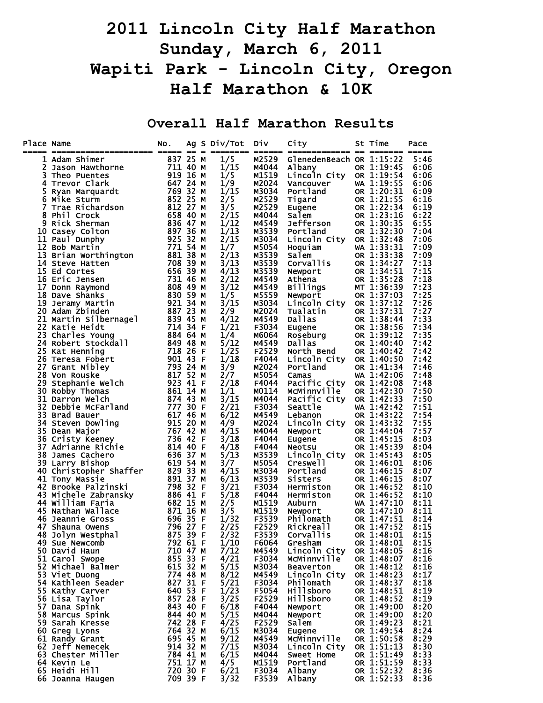## **2011 Lincoln City Half Marathon Sunday, March 6, 2011 Wapiti Park - Lincoln City, Oregon Half Marathon & 10K**

**Overall Half Marathon Results** 

| Place Name |                                                                                                                                                                                                                                                                 | NO.                                               |  | Ag S Div/Tot<br>========= ====== | <b>Div</b>     | City<br>============= == ======= ===== | St Time                  | Pace         |
|------------|-----------------------------------------------------------------------------------------------------------------------------------------------------------------------------------------------------------------------------------------------------------------|---------------------------------------------------|--|----------------------------------|----------------|----------------------------------------|--------------------------|--------------|
|            | 1 Adam Shimer<br><b>---</b><br>Jason Hawthorne<br>Theo Puentes                                                                                                                                                                                                  | 837 25 M                                          |  | 1/5                              | M2529          | GlenedenBeach OR 1:15:22               |                          | 5:46         |
| 2          |                                                                                                                                                                                                                                                                 | 711 40 M                                          |  | 1/15                             | M4044          | Albany                                 | OR 1:19:45               | 6:06         |
| 3          |                                                                                                                                                                                                                                                                 | 919 16 M                                          |  | 1/5                              | M1519          | Lincoln City                           | OR 1:19:54               | 6:06         |
|            | Trevor Clark<br>Ryan Marquardt<br>4 Trevor Clark                                                                                                                                                                                                                | 647 24 M                                          |  | 1/9                              | M2024          | Vancouver                              | WA 1:19:55               | 6:06         |
|            |                                                                                                                                                                                                                                                                 |                                                   |  | 1/15                             | M3034          | Portland                               | OR 1:20:31               | 6:09         |
|            |                                                                                                                                                                                                                                                                 |                                                   |  | 2/5                              | M2529          | Tigard                                 | OR 1:21:55               | 6:16         |
|            |                                                                                                                                                                                                                                                                 |                                                   |  | 3/5<br>2/15                      | M2529<br>M4044 | Eugene<br>Salem                        | OR 1:22:34<br>OR 1:23:16 | 6:19<br>6:22 |
|            |                                                                                                                                                                                                                                                                 |                                                   |  | 1/12                             | M4549          | Jefferson                              | OR 1:30:35               | 6:55         |
|            |                                                                                                                                                                                                                                                                 |                                                   |  | 1/13                             | M3539          | Portland                               | OR 1:32:30               | 7:04         |
|            |                                                                                                                                                                                                                                                                 |                                                   |  | 2/15                             | M3034          | Lincoln City                           | OR 1:32:48               | 7:06         |
|            |                                                                                                                                                                                                                                                                 |                                                   |  | 1/7                              | M5054          | Hoquiam                                | WA 1:33:31               | 7:09         |
|            | New Mary-<br>Mike Sturm<br>Trae Richardson<br>3 Phil Crock<br>9 Rick Sherman<br>0 Casey Colton<br>11 Paul Dunphy<br>12 Bob Martin<br>13 Brian Worthington<br>14 Steve Hatten<br>708 39 M<br>14 Steve Hatten<br>708 39 M<br>708 39 M<br>708 39 M<br>708 39 M<br> |                                                   |  | 2/13                             | M3539          | Salem                                  | OR 1:33:38               | 7:09         |
|            |                                                                                                                                                                                                                                                                 |                                                   |  | 3/13                             | M3539          | Corvallis                              | OR 1:34:27               | 7:13         |
|            |                                                                                                                                                                                                                                                                 |                                                   |  | 4/13                             | M3539          | Newport                                | OR 1:34:51               | 7:15         |
|            |                                                                                                                                                                                                                                                                 |                                                   |  | 2/12                             | M4549          | Athena                                 | OR 1:35:28               | 7:18         |
|            |                                                                                                                                                                                                                                                                 |                                                   |  | 3/12<br>1/5                      | M4549<br>M5559 | Billings                               | MT 1:36:39               | 7:23<br>7:25 |
|            | 830 59 M<br>921 34 M<br>19 Jeramy Martin                                                                                                                                                                                                                        |                                                   |  | 3/15                             | M3034          | Newport<br>Lincoln City                | OR 1:37:03<br>OR 1:37:12 | 7:26         |
|            | 20 Adam Zbinden                                                                                                                                                                                                                                                 | 887 23 M                                          |  | 2/9                              | M2024          | Tualatin                               | OR 1:37:31               | 7:27         |
|            |                                                                                                                                                                                                                                                                 |                                                   |  | 4/12                             | M4549          | Dallas                                 | OR 1:38:44               | 7:33         |
|            |                                                                                                                                                                                                                                                                 |                                                   |  | 1/21                             | F3034          |                                        | OR 1:38:56               | 7:34         |
|            |                                                                                                                                                                                                                                                                 |                                                   |  | 1/4                              | M6064          | Eugene<br>Roseburg                     | OR 1:39:12               | 7:35         |
|            |                                                                                                                                                                                                                                                                 |                                                   |  | 5/12                             | M4549          | <b>Dallas</b>                          | OR 1:40:40               | 7:42         |
|            |                                                                                                                                                                                                                                                                 |                                                   |  | 1/25                             | F2529          | North Bend                             | OR 1:40:42               | 7:42         |
|            |                                                                                                                                                                                                                                                                 |                                                   |  | 1/18                             | F4044          | Lincoln City                           | OR 1:40:50               | 7:42         |
|            |                                                                                                                                                                                                                                                                 |                                                   |  | 3/9                              | M2024          | Portland                               | OR 1:41:34               | 7:46         |
|            |                                                                                                                                                                                                                                                                 |                                                   |  | 2/7<br>2/18                      | M5054<br>F4044 | Camas<br>Pacific City                  | WA 1:42:06<br>OR 1:42:08 | 7:48<br>7:48 |
|            |                                                                                                                                                                                                                                                                 |                                                   |  | 1/1                              | M0114          | McMinnville                            | OR 1:42:30               | 7:50         |
|            | 20 Adam Zbinden<br>21 Martin Silbernagel<br>22 Katie Heidt<br>23 Charles Young<br>24 Robert Stockdall<br>25 Kat Henning<br>26 Teresa Fobert<br>25 Kat Henning<br>26 Teresa Fobert<br>27 Grant Nibley<br>28 Von Rouske<br>29 Stephanie Welch<br>30 Robb          |                                                   |  | 3/15                             | M4044          | Pacific City                           | OR 1:42:33               | 7:50         |
|            |                                                                                                                                                                                                                                                                 |                                                   |  | 2/21                             | F3034          | Seattle                                | WA 1:42:42               | 7:51         |
|            |                                                                                                                                                                                                                                                                 |                                                   |  | 6/12                             | M4549          | Lebanon                                | OR 1:43:22               | 7:54         |
|            |                                                                                                                                                                                                                                                                 |                                                   |  | 4/9                              | M2024          | Lincoln City                           | OR 1:43:32               | 7:55         |
|            |                                                                                                                                                                                                                                                                 |                                                   |  | 4/15                             | M4044          | Newport                                | OR 1:44:04               | 7:57         |
|            |                                                                                                                                                                                                                                                                 |                                                   |  | 3/18                             | F4044          | Eugene                                 | OR 1:45:15               | 8:03         |
|            | 38 James Cachero                                                                                                                                                                                                                                                | 636 37 M                                          |  | 4/18<br>5/13                     | F4044          | <b>Neotsu</b>                          | OR 1:45:39               | 8:04         |
|            | 39 Larry Bishop                                                                                                                                                                                                                                                 | 619 54 M                                          |  | 3/7                              | M3539<br>M5054 | Lincoln City<br>Creswell               | OR 1:45:43<br>OR 1:46:01 | 8:05<br>8:06 |
|            | 40 Christopher Shaffer                                                                                                                                                                                                                                          | 829 33 M                                          |  | 4/15                             | M3034          | Portland                               | OR 1:46:15               | 8:07         |
|            | 41 Tony Massie                                                                                                                                                                                                                                                  | 891 37 M                                          |  | 6/13                             | M3539          | Sisters                                | OR 1:46:15               | 8:07         |
|            | 42 Brooke Palzinski                                                                                                                                                                                                                                             | 798 32 F                                          |  | 3/21                             | F3034          | Hermiston                              | OR 1:46:52               | 8:10         |
|            | 43 Michele Zabransky<br>44 William Earia                                                                                                                                                                                                                        | 886 41 F                                          |  | 5/18                             | F4044          | Hermiston                              | OR 1:46:52               | 8:10         |
|            | 44 William Faria                                                                                                                                                                                                                                                | 682 15 M                                          |  | 2/5                              | M1519          | Auburn                                 | WA 1:47:10               | 8:11         |
|            | 45 Nathan Wallace                                                                                                                                                                                                                                               | <b>821 16 M</b><br>871 16 M<br>696 35 F<br>796 27 |  | 3/5                              | M1519          | Newport                                | OR 1:47:10               | 8:11         |
|            | 46 Jeannie Gross<br>Shauna Owens                                                                                                                                                                                                                                |                                                   |  | 1/32                             | F3539<br>F2529 | Philomath<br>Rickreall                 | OR 1:47:51               | 8:14<br>8:15 |
| 47.        | 48 Jolyn Westphal<br>875 39 F                                                                                                                                                                                                                                   |                                                   |  | 2/25<br>2/32                     | F3539          | Corvallis                              | OR 1:47:52<br>OR 1:48:01 | 8:15         |
|            | 49 Sue Newcomb                                                                                                                                                                                                                                                  | 792 61 F                                          |  | 1/10                             | F6064          | Gresham                                | OR 1:48:01               | 8:15         |
|            | 50 David Haun                                                                                                                                                                                                                                                   | 710 47 M                                          |  | 7/12                             | M4549          | Lincoln City                           | OR 1:48:05               | 8:16         |
|            | 51 Carol Swope                                                                                                                                                                                                                                                  | 855 33 F                                          |  | 4/21                             | F3034          | McMinnville                            | OR 1:48:07               | 8:16         |
|            | 52 Michael Balmer                                                                                                                                                                                                                                               | 615 32 M                                          |  | 5/15                             | M3034          | <b>Beaverton</b>                       | OR 1:48:12               | 8:16         |
|            | 53 Viet Duong                                                                                                                                                                                                                                                   | 774 48 M                                          |  | 8/12                             | M4549          | Lincoln City                           | OR 1:48:23               | 8:17         |
|            | 54 Kathleen Seader                                                                                                                                                                                                                                              | 827 31 F                                          |  | 5/21                             | F3034          | Philomath                              | OR 1:48:37               | 8:18         |
|            | 55 Kathy Carver                                                                                                                                                                                                                                                 | 640 53 F                                          |  | 1/23                             | F5054          | <b>Hillsboro</b>                       | OR 1:48:51               | 8:19         |
|            | 56 Lisa Taylor                                                                                                                                                                                                                                                  | 857 28 F                                          |  | 3/25                             | F2529          | Hillsboro                              | OR 1:48:52               | 8:19         |
|            | 57 Dana Spink<br>58 Marcus Spink                                                                                                                                                                                                                                | 843 40 F<br>844 40 M                              |  | 6/18<br>5/15                     | F4044<br>M4044 | Newport<br>Newport                     | OR 1:49:00<br>OR 1:49:00 | 8:20<br>8:20 |
|            | 59 Sarah Kresse                                                                                                                                                                                                                                                 | 742 28 F                                          |  | 4/25                             | F2529          | Salem                                  | OR 1:49:23               | 8:21         |
|            | 60 Greg Lyons                                                                                                                                                                                                                                                   | 764 32 M                                          |  | 6/15                             | M3034          | Eugene                                 | OR 1:49:54               | 8:24         |
|            | 61 Randy Grant                                                                                                                                                                                                                                                  | 695 45 M                                          |  | 9/12                             | M4549          | MCMinnville                            | OR 1:50:58               | 8:29         |
|            | 62 Jeff Nemecek                                                                                                                                                                                                                                                 | 914 32 M                                          |  | 7/15                             | M3034          | Lincoln City                           | OR 1:51:13               | 8:30         |
|            | 63 Chester Miller                                                                                                                                                                                                                                               | 784 41 M                                          |  | 6/15                             | M4044          | <b>Sweet Home</b>                      | OR 1:51:49               | 8:33         |
|            | 64 Kevin Le                                                                                                                                                                                                                                                     | 751 17 M                                          |  | 4/5                              | M1519          | Portland                               | OR 1:51:59               | 8:33         |
|            | 65 Heidi Hill                                                                                                                                                                                                                                                   | 720 30 F                                          |  | 6/21                             | F3034          | Albany                                 | OR 1:52:32               | 8:36         |
|            | 66 Joanna Haugen                                                                                                                                                                                                                                                | 709 39 F                                          |  | 3/32                             | F3539          | Albany                                 | OR 1:52:33               | 8:36         |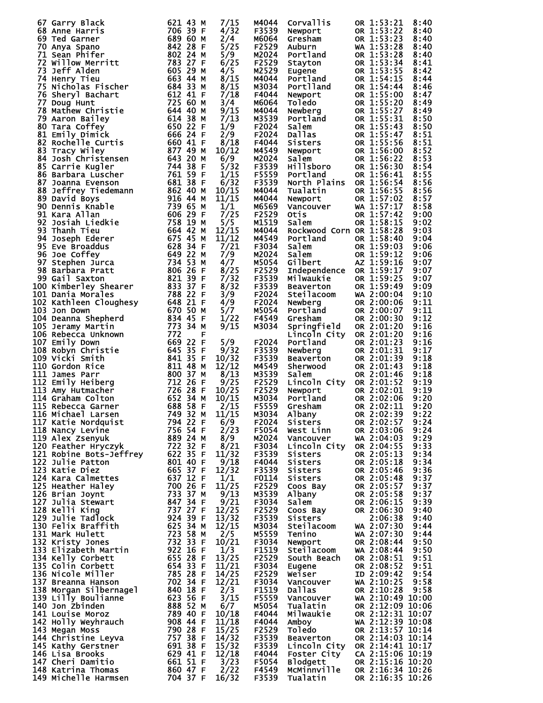|    | 67 Garry Black                                                                                                                                                                                                                                 | 621 43 M                         |   | 7/15          | M4044          | Corvallis                | OR 1:53:21                     | 8:40         |
|----|------------------------------------------------------------------------------------------------------------------------------------------------------------------------------------------------------------------------------------------------|----------------------------------|---|---------------|----------------|--------------------------|--------------------------------|--------------|
|    | 68 Anne Harris                                                                                                                                                                                                                                 | 706 39 F                         |   | 4/32          | F3539          | Newport                  | OR 1:53:22                     | 8:40         |
|    | 69 Ted Garner                                                                                                                                                                                                                                  | 689 60 M                         |   | 2/4           | M6064          | Gresham                  | OR 1:53:23                     | 8:40         |
|    | 70 Anya Spano                                                                                                                                                                                                                                  | 842 28 F                         |   | 5/25          | F2529          | Auburn                   | WA 1:53:28                     | 8:40         |
|    | 71 Sean Phifer                                                                                                                                                                                                                                 | 802 24 M                         |   | 5/9           | M2024          | Portland                 | OR 1:53:28                     | 8:40         |
|    | <b>72 Willow Merritt</b>                                                                                                                                                                                                                       | 783 27 F<br>605 29 M             |   | 6/25<br>4/5   | F2529          | Stayton                  | OR 1:53:34                     | 8:41         |
|    | 73 Jeff Alden                                                                                                                                                                                                                                  | 663 44 M                         |   | 8/15          | M2529<br>M4044 | Eugene<br>Portland       | OR 1:53:55<br>OR 1:54:15       | 8:42         |
|    | 74 Henry Tieu<br>75 Nicholas Fischer                                                                                                                                                                                                           | 684 33 M                         |   | 8/15          | M3034          | Portlland                | OR 1:54:44                     | 8:44<br>8:46 |
|    | 76 Sheryl Bachart                                                                                                                                                                                                                              | 612 41 F                         |   | 7/18          | F4044          | Newport                  | OR 1:55:00                     | 8:47         |
|    | 77 Doug Hunt                                                                                                                                                                                                                                   | 725 60 M                         |   | 3/4           | M6064          | <b>Toledo</b>            | OR 1:55:20                     | 8:49         |
|    | 78 Mathew Christie                                                                                                                                                                                                                             | 644 40 M                         |   | 9/15          | M4044          | Newberg                  | OR 1:55:27                     | 8:49         |
|    | 79 Aaron Bailey                                                                                                                                                                                                                                | 614 38 M                         |   | 7/13          | M3539          | Portland                 | OR 1:55:31                     | 8:50         |
|    | <i>(</i> 9 Aaron Bailey<br>80 Tara Coffey<br>81 Emily Dimick<br>82 Rochelle Curtis                                                                                                                                                             | 650 22 F                         |   | 1/9           | F2024          | Salem                    | OR 1:55:43                     | 8:50         |
|    |                                                                                                                                                                                                                                                | 666 24 F                         |   | 2/9           | F2024          | <b>Dallas</b>            | OR 1:55:47                     | 8:51         |
|    |                                                                                                                                                                                                                                                | 660 41 F                         |   | 8/18          | F4044          | Sisters                  | OR 1:55:56                     | 8:51         |
|    |                                                                                                                                                                                                                                                | 877 49 M                         |   | 10/12         | M4549          | Newport                  | OR 1:56:00                     | 8:52         |
|    | 83 Tracy Wiley<br>84 Josh Christensen<br>85 Carrie Kugler<br>8 <u>6</u> Barbara_Luscher                                                                                                                                                        | 643 20 M                         |   | 6/9           | M2024          | Salem                    | OR 1:56:22                     | 8:53         |
|    |                                                                                                                                                                                                                                                | 744 38 F                         |   | 5/32          | F3539          | Hillsboro                | OR 1:56:30                     | 8:54         |
|    |                                                                                                                                                                                                                                                | 761 59 F                         |   | 1/15          | F5559          | Portland                 | OR 1:56:41                     | 8:55         |
| 87 | Joanna Evenson                                                                                                                                                                                                                                 | 681 38 F                         |   | 6/32          | F3539          | North Plains             | OR 1:56:54                     | 8:56         |
|    | 38 Jeffrey Tiedemann<br>89 David Boys<br>90 Dennis Knable<br>91 Kara Allan                                                                                                                                                                     | 862 40 M                         |   | 10/15         | M4044          | Tualatin                 | OR 1:56:55                     | 8:56         |
|    |                                                                                                                                                                                                                                                | 916 44 M                         |   | 11/15         | M4044          | Newport                  | OR 1:57:02                     | 8:57         |
|    |                                                                                                                                                                                                                                                | 739 65 M<br>606 29 F             |   | 1/1           | M6569<br>F2529 | Vancouver                | WA 1:57:17                     | 8:58         |
|    | 92 Josiah Liedkie                                                                                                                                                                                                                              | 758 19 M                         |   | 7/25<br>5/5   | M1519          | Otis<br>Salem            | OR 1:57:42<br>OR 1:58:15       | 9:00<br>9:02 |
|    | 93 Thanh Tieu                                                                                                                                                                                                                                  | 664 42 M                         |   | 12/15         | M4044          | Rockwood Corn OR 1:58:28 |                                | 9:03         |
|    | 94 Joseph Ederer                                                                                                                                                                                                                               | 675 45 M                         |   | 11/12         | M4549          | Portland                 | OR 1:58:40                     | 9:04         |
|    | 95 Eve Broaddus                                                                                                                                                                                                                                | 628 34 F                         |   | 7/21          | F3034          | Salem                    | OR 1:59:03                     | 9:06         |
|    |                                                                                                                                                                                                                                                | 649 22 M                         |   | 7/9           | M2024          | Salem                    | OR 1:59:12                     | 9:06         |
|    |                                                                                                                                                                                                                                                | 734 53 M                         |   | 4/7           | M5054          | Gilbert                  | AZ 1:59:16                     | 9:07         |
|    |                                                                                                                                                                                                                                                | 806 26 F                         |   | 8/25          | F2529          | Independence             | OR 1:59:17                     | 9:07         |
|    | <b>95 Eve Broaddus<br/>96 Joe Coffey<br/>97 Stephen Jurca<br/>98 Barbara Pratt<br/>99 Gail Saxton<br/>100 Kimberley Shearer</b>                                                                                                                | 821 39 F                         |   | 7/32          | F3539          | Milwaukie                | OR 1:59:25                     | 9:07         |
|    |                                                                                                                                                                                                                                                | 833 37 F                         |   | 8/32          | F3539          | Beaverton                | OR 1:59:49                     | 9:09         |
|    | 101 Dania Morales                                                                                                                                                                                                                              | 788 22 F                         |   | 3/9           | F2024          | Steilacoom               | WA 2:00:04                     | 9:10         |
|    | 102 Kathleen Cloughesy                                                                                                                                                                                                                         | 648 21 F                         |   | 4/9           | F2024          | Newberg                  | OR 2:00:06                     | 9:11         |
|    | 103 Jon Down                                                                                                                                                                                                                                   | 670 50 M                         |   | 5/7           | M5054          | Portland                 | OR 2:00:07                     | 9:11         |
|    | 104 Deanna Shepherd                                                                                                                                                                                                                            | 834 45 F                         |   | 1/22          | F4549          | Gresham                  | OR 2:00:30                     | 9:12         |
|    | 105 Jeramy Martin                                                                                                                                                                                                                              | 773 34 M                         |   | 9/15          | M3034          | Springfield              | OR 2:01:20                     | 9:16         |
|    | 106 Rebecca Unknown                                                                                                                                                                                                                            | 772                              | F |               |                | Lincoln City             | OR 2:01:20                     | 9:16         |
|    | 107 Emily Down                                                                                                                                                                                                                                 | 669 22 F                         |   | 5/9           | F2024          | Portland                 | OR 2:01:23                     | 9:16         |
|    | 108 Robyn Christie<br>109 Vicki Smith                                                                                                                                                                                                          | 645 35 F                         |   | 9/32          | F3539          | Newberg                  | OR 2:01:31                     | 9:17         |
|    | 109 Vicki Smith                                                                                                                                                                                                                                | 841 35 F                         |   | 10/32         | F3539          | Beaverton                | OR 2:01:39                     | 9:18         |
|    | 110 Gordon Rice                                                                                                                                                                                                                                | 811 48 M                         |   | 12/12         | M4549          | <b>Sherwood</b>          | OR 2:01:43                     | 9:18         |
|    | 111 James Parr                                                                                                                                                                                                                                 | 800 37 M                         |   | 8/13          | M3539          | Salem                    | OR 2:01:46                     | 9:18         |
|    | 112 Emily Heiberg<br>113 Amy Hutmacher<br>114 Graham Colton<br>115 Rebecca Garner<br>116 Michael Larsen                                                                                                                                        | 712 26 F                         |   | 9/25          | F2529          | Lincoln City             | OR 2:01:52                     | 9:19         |
|    |                                                                                                                                                                                                                                                | 726 28 F                         |   | 10/25         | F2529          | Newport                  | OR 2:02:01                     | 9:19         |
|    |                                                                                                                                                                                                                                                | 652 34 M<br>688 58 F             |   | 10/15         | M3034          | Portland                 | OR 2:02:06<br>OR 2:02:11       | 9:20         |
|    | — 749 32 м                                                                                                                                                                                                                                     |                                  |   | 2/15<br>11/15 | F5559<br>M3034 | Gresham                  | OR 2:02:39                     | 9:20<br>9:22 |
|    | 116 Michael Larsen<br>117 Katie Nordquist                                                                                                                                                                                                      | 794 22 F                         |   | 6/9           | F2024          | Albany<br>Sisters        | OR 2:02:57                     | 9:24         |
|    | 118 Nancy Levine                                                                                                                                                                                                                               | 756 54 F                         |   | 2/23          | F5054          | West Linn                | OR 2:03:06                     | 9:24         |
|    | 119 Alex Zsenyuk                                                                                                                                                                                                                               | 889 24 M                         |   | 8/9           | M2024          | Vancouver                | WA 2:04:03                     | 9:29         |
|    | 120 Feather Hryczyk                                                                                                                                                                                                                            | 722 32 F                         |   | 8/21          | F3034          | Lincoln City             | OR 2:04:55                     | 9:33         |
|    | 121 Robine Bots-Jeffrey                                                                                                                                                                                                                        | 622 35 F                         |   | 11/32         | F3539          | Sisters                  | OR 2:05:13                     | 9:34         |
|    | 122 Julie Patton                                                                                                                                                                                                                               | 801 40 F                         |   | 9/18          | F4044          | Sisters                  | OR 2:05:18                     | 9:34         |
|    | 123 Katie Diez                                                                                                                                                                                                                                 | 665 37 F                         |   | 12/32         | F3539          | Sisters                  | OR 2:05:46                     | 9:36         |
|    | 124 Kara Calmettes                                                                                                                                                                                                                             | 637 12 F                         |   | 1/1           | F0114          | Sisters                  | OR 2:05:48                     | 9:37         |
|    | 125 Heather Haley                                                                                                                                                                                                                              | 700 26 F                         |   | 11/25         | F2529          | Coos Bay                 | OR 2:05:57                     | 9:37         |
|    | 126 Brian Joynt                                                                                                                                                                                                                                | 733 37 M                         |   | 9/13          | M3539          | Albany                   | OR 2:05:58                     | 9:37         |
|    | 127 Julia Stewart                                                                                                                                                                                                                              | 847 34 F                         |   | 9/21          | F3034          | Salem                    | OR 2:06:15                     | 9:39         |
|    | 128 Kelli King                                                                                                                                                                                                                                 | 737 27 F                         |   | 12/25         | F2529          | Coos Bay                 | OR 2:06:30                     | 9:40         |
|    | 129 Julie Tadlock                                                                                                                                                                                                                              | 924 39 F                         |   | 13/32         | F3539          | Sisters                  | 2:06:38                        | 9:40         |
|    | 130 Felix Braffith                                                                                                                                                                                                                             | 625 34 M                         |   | 12/15         | M3034          | Steilacoom               | WA 2:07:30                     | 9:44         |
|    | 131 Mark Hulett                                                                                                                                                                                                                                | 723 58 M                         |   | 2/5           | M5559          | Tenino                   | WA 2:07:30                     | 9:44         |
|    | 132 Kristy Jones<br>132 Kristy Jones<br>133 Elizabeth Martin<br>133 Elizabeth Martin                                                                                                                                                           | 732 33 F                         |   | 10/21         | F3034          | Newport                  | OR 2:08:44                     | 9:50         |
|    |                                                                                                                                                                                                                                                | 922 16 F                         |   | 1/3           | F1519          | Steilacoom               | WA 2:08:44                     | 9:50         |
|    |                                                                                                                                                                                                                                                | 655 28 F                         |   | 13/25         | F2529          | South Beach              | OR 2:08:51                     | 9:51         |
|    | 135 Colin Corbett                                                                                                                                                                                                                              | 654 33 F                         |   | 11/21         | F3034          | Eugene                   | OR 2:08:52                     | 9:51         |
|    | 136 Nicole Miller                                                                                                                                                                                                                              | 785 28 F                         |   | 14/25         | F2529          | Weiser                   | ID 2:09:42                     | 9:54         |
|    | 137 Breanna Hanson                                                                                                                                                                                                                             | 702 34 F                         |   | 12/21         | F3034          | Vancouver                | WA 2:10:25                     | 9:58         |
|    | 138 Morgan Silbernagel<br>139 Lilly Boulianne                                                                                                                                                                                                  | 840 18 F<br>623 56 F             |   | 2/3<br>3/15   | F1519<br>F5559 | Dallas                   | OR 2:10:28<br>WA 2:10:49 10:00 | 9:58         |
|    |                                                                                                                                                                                                                                                |                                  |   | 6/7           | M5054          | Vancouver<br>Tualatin    | OR 2:12:09 10:06               |              |
|    |                                                                                                                                                                                                                                                | 623 56 F<br>888 52 M<br>789 40 F |   | 10/18         | F4044          | Milwaukie                | OR 2:12:31 10:07               |              |
|    |                                                                                                                                                                                                                                                |                                  |   | 11/18         | F4044          | Amboy                    | WA 2:12:39 10:08               |              |
|    |                                                                                                                                                                                                                                                |                                  |   | 15/25         | F2529          | Toledo                   | OR 2:13:57 10:14               |              |
|    |                                                                                                                                                                                                                                                |                                  |   | 14/32         | F3539          | Beaverton                | OR 2:14:03 10:14               |              |
|    |                                                                                                                                                                                                                                                |                                  |   | 15/32         | F3539          | Lincoln City             | OR 2:14:41 10:17               |              |
|    |                                                                                                                                                                                                                                                |                                  |   | 12/18         | F4044          | Foster City              | CA 2:15:06 10:19               |              |
|    | 140 Jon Zbinden<br>141 Louise Moroz 789 40 F<br>142 Holly Weyhrauch 908 44 F<br>143 Megan Moss 790 28 F<br>144 Christine Leyva 757 38 F<br>145 Kathy Gerstner 691 38 F<br>146 Lisa Brooks 629 41 F<br>146 Lisa Brooks 629 41 F<br>146 Lisa Bro |                                  |   | 3/23          | F5054          | Blodgett                 | OR 2:15:16 10:20               |              |
|    |                                                                                                                                                                                                                                                |                                  |   | 2/22          | F4549          | MCMinnville              | OR 2:16:34 10:26               |              |
|    | 148 Katrina Thomas<br>148 Katrina Thomas 660 47 F<br>149 Michelle Harmsen 704 37 F                                                                                                                                                             |                                  |   | 16/32         | F3539          | Tualatin                 | OR 2:16:35 10:26               |              |
|    |                                                                                                                                                                                                                                                |                                  |   |               |                |                          |                                |              |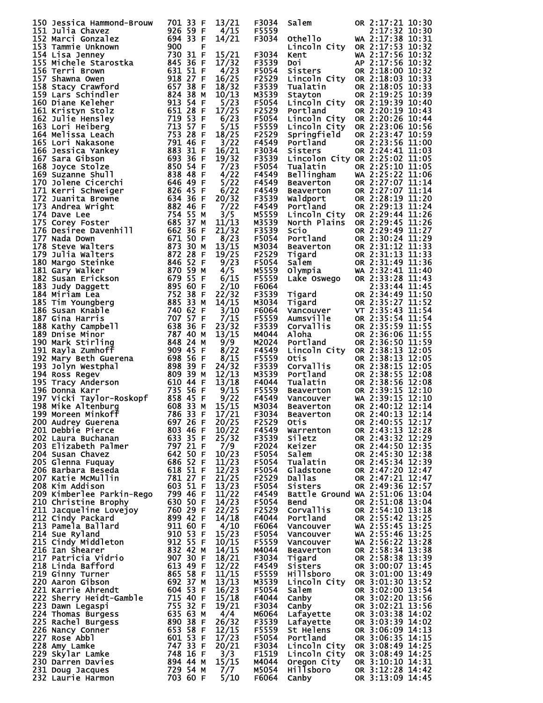| 150 Jessica Hammond-Brouw                                                                                                                                                                                                                              | 701 33 F | 13/21       | F3034          | Salem                                                                                                                                                                                            | OR 2:17:21 10:30                     |  |
|--------------------------------------------------------------------------------------------------------------------------------------------------------------------------------------------------------------------------------------------------------|----------|-------------|----------------|--------------------------------------------------------------------------------------------------------------------------------------------------------------------------------------------------|--------------------------------------|--|
|                                                                                                                                                                                                                                                        |          | 4/15        | F5559          |                                                                                                                                                                                                  | 2:17:32 10:30                        |  |
|                                                                                                                                                                                                                                                        |          | 14/21       | F3034          | <b>Othello</b>                                                                                                                                                                                   | WA 2:17:38 10:31                     |  |
|                                                                                                                                                                                                                                                        |          |             |                |                                                                                                                                                                                                  |                                      |  |
|                                                                                                                                                                                                                                                        |          |             |                | Lincoln City OR 2:17:53 10:32                                                                                                                                                                    |                                      |  |
|                                                                                                                                                                                                                                                        |          | 15/21       | F3034          | Kent                                                                                                                                                                                             | WA 2:17:56 10:32                     |  |
|                                                                                                                                                                                                                                                        |          | 17/32       | F3539          | Doi                                                                                                                                                                                              | AP 2:17:56 10:32                     |  |
|                                                                                                                                                                                                                                                        |          | 4/23        | F5054          | Sisters                                                                                                                                                                                          | OR 2:18:00 10:32                     |  |
|                                                                                                                                                                                                                                                        |          | 16/25       | F2529          | Lincoln City OR 2:18:03 10:33                                                                                                                                                                    |                                      |  |
|                                                                                                                                                                                                                                                        |          | 18/32       | F3539          | Tualatin                                                                                                                                                                                         | OR 2:18:05 10:33                     |  |
|                                                                                                                                                                                                                                                        |          | 10/13       | M3539          | Stayton                                                                                                                                                                                          | OR 2:19:25 10:39                     |  |
|                                                                                                                                                                                                                                                        |          | 5/23        | F5054          | Lincoln City OR 2:19:39 10:40                                                                                                                                                                    |                                      |  |
|                                                                                                                                                                                                                                                        |          | 17/25       |                |                                                                                                                                                                                                  | OR 2:20:19 10:43                     |  |
|                                                                                                                                                                                                                                                        |          |             | F2529          | Portland                                                                                                                                                                                         |                                      |  |
|                                                                                                                                                                                                                                                        |          | 6/23        | F5054          | Lincoln City OR 2:20:26 10:44                                                                                                                                                                    |                                      |  |
|                                                                                                                                                                                                                                                        |          | 5/15        | F5559          | Lincoln City                                                                                                                                                                                     | OR 2:23:06 10:56                     |  |
|                                                                                                                                                                                                                                                        |          | 18/25       | F2529          | Springfield                                                                                                                                                                                      | OR 2:23:47 10:59                     |  |
|                                                                                                                                                                                                                                                        |          | 3/22        | F4549          | Portland                                                                                                                                                                                         | OR 2:23:56 11:00                     |  |
|                                                                                                                                                                                                                                                        |          | 16/21       | F3034          | Sisters                                                                                                                                                                                          | OR 2:24:41 11:03                     |  |
|                                                                                                                                                                                                                                                        |          | 19/32       | F3539          | Lincolon City OR 2:25:02 11:05                                                                                                                                                                   |                                      |  |
|                                                                                                                                                                                                                                                        |          | 7/23        | F5054          |                                                                                                                                                                                                  |                                      |  |
|                                                                                                                                                                                                                                                        |          | 4/22        | F4549          | Tualatin OR 2:25:10 11:05<br>Bellingham WA 2:25:22 11:06                                                                                                                                         |                                      |  |
|                                                                                                                                                                                                                                                        |          | 5/22        | F4549          |                                                                                                                                                                                                  | OR 2:27:07 11:14                     |  |
|                                                                                                                                                                                                                                                        |          |             |                |                                                                                                                                                                                                  |                                      |  |
|                                                                                                                                                                                                                                                        |          | 6/22        | F4549          | <b>Beaverton<br/>Beaverton<br/>Waldport<br/>Portland</b>                                                                                                                                         | OR 2:27:07 11:14                     |  |
|                                                                                                                                                                                                                                                        |          | 20/32       | F3539          |                                                                                                                                                                                                  | OR 2:28:19 11:20                     |  |
|                                                                                                                                                                                                                                                        |          | 7/22        | F4549          | Portland                                                                                                                                                                                         | OR 2:29:13 11:24                     |  |
|                                                                                                                                                                                                                                                        |          | 3/5         | M5559          | Lincoln City OR 2:29:44 11:26                                                                                                                                                                    |                                      |  |
|                                                                                                                                                                                                                                                        |          | 11/13       | M3539          | North Plains                                                                                                                                                                                     | OR 2:29:45 11:26                     |  |
|                                                                                                                                                                                                                                                        |          | 21/32       | F3539          |                                                                                                                                                                                                  | OR 2:29:49 11:27                     |  |
|                                                                                                                                                                                                                                                        |          | 8/23        | F5054          |                                                                                                                                                                                                  |                                      |  |
| 150 Jessica Hammond-Brouw 701 33 FF<br>1511 Julia Chavez<br>1512 Marci Gonzalez 924<br>1532 Mannie Unknown 9000<br>153 Tammie Unknown 9000<br>153 Hichele Starostka 845 36<br>156 Michele Starostka 845 36<br>156 Terri Brown 914 25 15 5 15 FF<br>156 |          | 13/15       | M3034          | Scio OR 2:29:49 11:27<br>Portland OR 2:30:24 11:29<br>Beaverton OR 2:31:12 11:33<br>Tigard OR 2:31:13 11:33<br>Salem OR 2:31:49 11:36<br>Olympia WA 2:32:41 11:40                                |                                      |  |
|                                                                                                                                                                                                                                                        |          |             |                |                                                                                                                                                                                                  |                                      |  |
|                                                                                                                                                                                                                                                        |          | 19/25       | F2529          |                                                                                                                                                                                                  |                                      |  |
|                                                                                                                                                                                                                                                        |          | 9/23        | F5054          |                                                                                                                                                                                                  |                                      |  |
|                                                                                                                                                                                                                                                        |          | 4/5         | M5559          |                                                                                                                                                                                                  |                                      |  |
|                                                                                                                                                                                                                                                        |          | 6/15        | F5559          | Lake Oswego                                                                                                                                                                                      | OR 2:33:28 11:43                     |  |
|                                                                                                                                                                                                                                                        |          | 2/10        | F6064          |                                                                                                                                                                                                  | 2:33:44 11:45                        |  |
|                                                                                                                                                                                                                                                        |          | 22/32       | F3539          | Tigard<br>Tigard<br>Vancouver<br>Aumsville<br>Corvallis<br>Aloba                                                                                                                                 | OR 2:34:49 11:50                     |  |
|                                                                                                                                                                                                                                                        |          | 14/15       | M3034          |                                                                                                                                                                                                  | OR 2:35:27 11:52                     |  |
|                                                                                                                                                                                                                                                        |          | 3/10        | F6064          |                                                                                                                                                                                                  | VT 2:35:43 11:54                     |  |
|                                                                                                                                                                                                                                                        |          | 7/15        | F5559          |                                                                                                                                                                                                  | OR 2:35:54 11:54                     |  |
|                                                                                                                                                                                                                                                        |          |             | F3539          |                                                                                                                                                                                                  |                                      |  |
|                                                                                                                                                                                                                                                        |          | 23/32       |                |                                                                                                                                                                                                  | OR 2:35:59 11:55                     |  |
|                                                                                                                                                                                                                                                        |          | 13/15       | M4044          | Aloha                                                                                                                                                                                            | OR 2:36:06 11:55                     |  |
|                                                                                                                                                                                                                                                        |          | 9/9         | M2024          | Portland                                                                                                                                                                                         | OR 2:36:50 11:59                     |  |
|                                                                                                                                                                                                                                                        |          | 8/22        | F4549          | Lincoln City OR 2:38:13 12:05                                                                                                                                                                    |                                      |  |
|                                                                                                                                                                                                                                                        |          | 8/15        | F5559          |                                                                                                                                                                                                  | OR 2:38:13 12:05                     |  |
|                                                                                                                                                                                                                                                        |          | 24/32       | F3539          |                                                                                                                                                                                                  | OR 2:38:15 12:05                     |  |
|                                                                                                                                                                                                                                                        |          | 12/13       | M3539          | <b>CHECHANGE CONSUMER</b><br><b>CONSUMERENT CONSUMER</b><br><b>CONSUMERENT CONSUMERENT</b><br><b>CONSUMERENT CONSUMERENT</b><br><b>CONSUMERENT CONSUMERENT</b><br><b>CONSUMERENT CONSUMERENT</b> | OR 2:38:55 12:08                     |  |
|                                                                                                                                                                                                                                                        |          | 13/18       | F4044          |                                                                                                                                                                                                  | OR 2:38:56 12:08                     |  |
|                                                                                                                                                                                                                                                        |          | 9/15        | F5559          |                                                                                                                                                                                                  | OR 2:39:15 12:10                     |  |
|                                                                                                                                                                                                                                                        |          | 9/22        |                |                                                                                                                                                                                                  | WA 2:39:15 12:10                     |  |
|                                                                                                                                                                                                                                                        |          |             | F4549          |                                                                                                                                                                                                  |                                      |  |
|                                                                                                                                                                                                                                                        |          | 15/15       | M3034          |                                                                                                                                                                                                  | OR 2:40:12 12:14                     |  |
| 199 Moreen Minkoff<br>200 Audrey Guerena<br>201 Debbie Pierce<br>201 Debbie Pierce<br>202 46 F 10/22                                                                                                                                                   |          |             | F3034          | Beaverton OR 2:40:13 12:14                                                                                                                                                                       |                                      |  |
|                                                                                                                                                                                                                                                        |          |             | F2529          | Otis                                                                                                                                                                                             | OR 2:40:55 12:17                     |  |
|                                                                                                                                                                                                                                                        |          |             | F4549          | Warrenton                                                                                                                                                                                        | OR 2:43:13 12:28                     |  |
|                                                                                                                                                                                                                                                        |          | 25/32       | F3539          | <b>Siletz</b>                                                                                                                                                                                    | OR 2:43:32 12:29                     |  |
|                                                                                                                                                                                                                                                        |          | 7/9         | F2024          | Keizer                                                                                                                                                                                           | OR 2:44:50 12:35                     |  |
|                                                                                                                                                                                                                                                        |          | 10/23       | F5054          | Salem                                                                                                                                                                                            | OR 2:45:30 12:38                     |  |
|                                                                                                                                                                                                                                                        |          | 11/23       | F5054          | Tualatin                                                                                                                                                                                         | OR 2:45:34 12:39                     |  |
|                                                                                                                                                                                                                                                        |          | 12/23       | F5054          | Gladstone                                                                                                                                                                                        | OR 2:47:20 12:47                     |  |
|                                                                                                                                                                                                                                                        |          | 21/25       | F2529          | <b>Dallas</b>                                                                                                                                                                                    | OR 2:47:21 12:47                     |  |
| 201 Debbre Pierce<br>202 Laura Buchanan 633 35 F<br>203 Elizabeth Palmer 797 21 F<br>204 Susan Chavez 642 50 F<br>205 Glenna Fuquay 686 52 F<br>206 Barbara Beseda 618 51 F<br>207 Katie McMullin 781 27 F<br>208 Kim Addison 603 51 F                 |          | 13/23       | F5054          | Sisters                                                                                                                                                                                          | OR 2:49:36 12:57                     |  |
|                                                                                                                                                                                                                                                        |          |             |                |                                                                                                                                                                                                  |                                      |  |
| 208 Kim Addison<br>209 Kimberlee Parkin-Rego 799 46 F                                                                                                                                                                                                  |          | 11/22       | F4549          | Battle Ground WA 2:51:06 13:04                                                                                                                                                                   |                                      |  |
|                                                                                                                                                                                                                                                        |          | 14/23       | F5054          | <b>Bend</b>                                                                                                                                                                                      | OR 2:51:08 13:04                     |  |
|                                                                                                                                                                                                                                                        |          | 22/25       | F2529          | Corvallis                                                                                                                                                                                        | OR 2:54:10 13:18                     |  |
| 209 Kimberlee Parkin-Rego 799 46 F<br>210 Christine Brophy 630 50 F<br>211 Jacqueline Lovejoy 760 29 F<br>212 Cindy Packard 899 42 F<br>213 Pame Parking 911 60 F<br>214 Sue Ryland 910 53 F<br>215 Cindy Middleton 912 55 F<br>216 Ian Shea           |          | 14/18       | F4044          | Portland                                                                                                                                                                                         | OR 2:55:42 13:25                     |  |
|                                                                                                                                                                                                                                                        |          | 4/10        | F6064          | Vancouver                                                                                                                                                                                        | WA 2:55:45 $13:25$                   |  |
|                                                                                                                                                                                                                                                        |          | 15/23       | F5054          | Vancouver                                                                                                                                                                                        | WA 2:55:46 13:25                     |  |
|                                                                                                                                                                                                                                                        |          | 10/15       | F5559          | Vancouver                                                                                                                                                                                        | WA 2:56:22 13:28                     |  |
|                                                                                                                                                                                                                                                        |          | 14/15       | M4044          | <b>Beaverton</b>                                                                                                                                                                                 | OR 2:58:34 13:38                     |  |
|                                                                                                                                                                                                                                                        |          | 18/21       | F3034          | Tigard                                                                                                                                                                                           | OR 2:58:38 13:39                     |  |
|                                                                                                                                                                                                                                                        |          | 12/22       | F4549          | Sisters                                                                                                                                                                                          | OR 3:00:07 13:45                     |  |
|                                                                                                                                                                                                                                                        |          |             |                |                                                                                                                                                                                                  |                                      |  |
|                                                                                                                                                                                                                                                        |          | 11/15       | F5559          | Hillsboro                                                                                                                                                                                        | OR 3:01:00 13:49                     |  |
|                                                                                                                                                                                                                                                        |          | 13/13       | M3539          | Lincoln City                                                                                                                                                                                     | OR 3:01:30 13:52                     |  |
|                                                                                                                                                                                                                                                        |          | 16/23       | F5054          | Salem                                                                                                                                                                                            | OR 3:02:00 13:54                     |  |
|                                                                                                                                                                                                                                                        |          | 15/18       | F4044          | Canby                                                                                                                                                                                            | OR 3:02:20 13:56                     |  |
|                                                                                                                                                                                                                                                        |          | 19/21       | F3034          | Canby                                                                                                                                                                                            | OR 3:02:21 13:56                     |  |
|                                                                                                                                                                                                                                                        |          | 4/4         | м6064          | Lafayette                                                                                                                                                                                        | OR 3:03:38 14:02                     |  |
|                                                                                                                                                                                                                                                        |          | 26/32       | F3539          | Lafayette                                                                                                                                                                                        | OR 3:03:39 14:02                     |  |
|                                                                                                                                                                                                                                                        |          | 12/15       | F5559          | St Helens                                                                                                                                                                                        | OR 3:06:09 14:13                     |  |
|                                                                                                                                                                                                                                                        |          | 17/23       | F5054          | Portland                                                                                                                                                                                         | OR 3:06:35 14:15                     |  |
|                                                                                                                                                                                                                                                        |          |             |                | Lincoln City                                                                                                                                                                                     | OR 3:08:49 14:25                     |  |
|                                                                                                                                                                                                                                                        |          |             |                |                                                                                                                                                                                                  |                                      |  |
|                                                                                                                                                                                                                                                        |          | 20/21       | F3034          |                                                                                                                                                                                                  |                                      |  |
|                                                                                                                                                                                                                                                        |          | 3/3         | F1519          | Lincoln City                                                                                                                                                                                     | OR 3:08:49 14:25                     |  |
|                                                                                                                                                                                                                                                        |          | 15/15       | M4044          | Oregon City                                                                                                                                                                                      | OR 3:10:10 14:31                     |  |
| 221 Karrie Ahrendt 604 53 F<br>222 Sherry Heidt-Gamble 715 40 F<br>223 Dawn Legaspi 755 32 F<br>224 Thomas Burgess 635 63 M<br>226 Nachel Burgess 890 38 F<br>226 Nancy Conner 653 58 F<br>227 Rose Abbl 601 53 F<br>228 Amy Lamke 747 33 F<br>        |          | 7/7<br>5/10 | M5054<br>F6064 | <b>Hillsboro</b><br>Canby                                                                                                                                                                        | OR 3:12:28 14:42<br>OR 3:13:09 14:45 |  |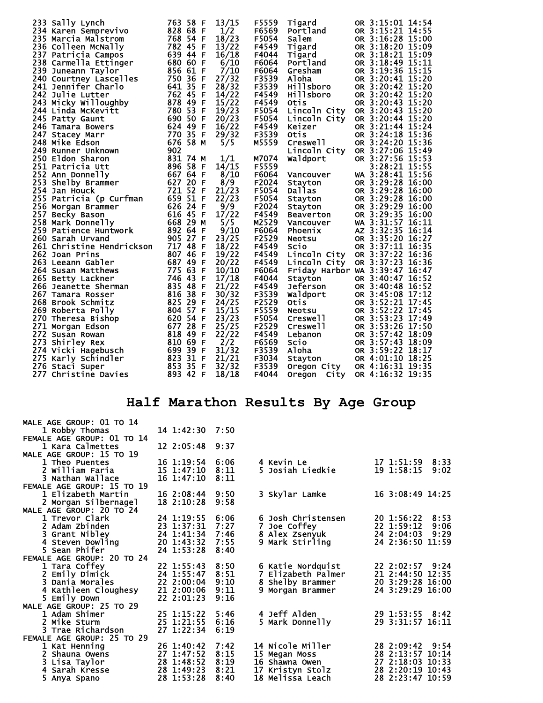| 233 Sally Lynch                                                                                                     |     | 763 58 F | 13/15 | F5559 | Tigard                         | OR 3:15:01 14:54 |  |
|---------------------------------------------------------------------------------------------------------------------|-----|----------|-------|-------|--------------------------------|------------------|--|
| 234 Karen Semprevivo                                                                                                |     | 828 68 F | 1/2   | F6569 | Portland                       | OR 3:15:21 14:55 |  |
| 235 Marcia Malstrom                                                                                                 |     | 768 54 F | 18/23 | F5054 | Salem                          | OR 3:16:28 15:00 |  |
| 236 Colleen McNally                                                                                                 |     | 782 45 F | 13/22 | F4549 | Tigard                         | OR 3:18:20 15:09 |  |
| 237 Patricia Campos                                                                                                 |     | 639 44 F | 16/18 | F4044 | Tigard                         | OR 3:18:21 15:09 |  |
| 237 Patricia Campos<br>238 Carmella Ettinger<br>239 Juneann Taylor<br>240 Courtney Lascelles<br>241 Jennifer Charlo |     | 680 60 F | 6/10  | F6064 | Portland                       | OR 3:18:49 15:11 |  |
|                                                                                                                     |     | 856 61 F | 7/10  | F6064 | Gresham                        | OR 3:19:36 15:15 |  |
|                                                                                                                     |     | 750 36 F | 27/32 | F3539 | Aloha                          | OR 3:20:41 15:20 |  |
|                                                                                                                     |     | 641 35 F | 28/32 | F3539 | <b>Hillsboro</b>               | OR 3:20:42 15:20 |  |
| <b>242 Julie Lutter</b>                                                                                             |     | 762 45 F | 14/22 | F4549 | Hillsboro                      | OR 3:20:42 15:20 |  |
| 243 Micky Willoughby                                                                                                |     | 878 49 F | 15/22 | F4549 | Otis                           | OR 3:20:43 15:20 |  |
| 244 Linda McKevitt                                                                                                  |     | 780 53 F | 19/23 | F5054 | Lincoln City                   | OR 3:20:43 15:20 |  |
| 245 Patty Gaunt                                                                                                     |     | 690 50 F | 20/23 | F5054 | Lincoln City                   | OR 3:20:44 15:20 |  |
| 246 Tamara Bowers                                                                                                   |     | 624 49 F | 16/22 | F4549 | Keizer                         | OR 3:21:44 15:24 |  |
| 247 Stacey Marr                                                                                                     |     | 770 35 F | 29/32 | F3539 | Otis                           | OR 3:24:18 15:36 |  |
| 248 Mike Edson                                                                                                      |     | 676 58 M | 5/5   | M5559 | Creswell                       | OR 3:24:20 15:36 |  |
| 249 Runner Unknown                                                                                                  | 902 |          |       |       | Lincoln City                   | OR 3:27:06 15:49 |  |
| 250 Eldon Sharon                                                                                                    |     | 831 74 M | 1/1   | M7074 | Waldport                       | OR 3:27:56 15:53 |  |
| 251 Patricia Utt                                                                                                    |     | 896 58 F | 14/15 | F5559 |                                | 3:28:21 15:55    |  |
| 252 Ann Donnelly                                                                                                    |     | 667 64 F | 8/10  | F6064 | Vancouver                      | WA 3:28:41 15:56 |  |
| 253 Shelby Brammer                                                                                                  |     | 627 20 F | 8/9   | F2024 |                                | OR 3:29:28 16:00 |  |
| 254 Jan Houck                                                                                                       |     | 721 52 F | 21/23 | F5054 | Stayton<br>Dallas              | OR 3:29:28 16:00 |  |
| 255 Patricia (p Curfman                                                                                             |     | 659 51 F | 22/23 | F5054 |                                | OR 3:29:28 16:00 |  |
| 256 Morgan Brammer                                                                                                  |     | 626 24 F | 9/9   | F2024 | Stayton<br>Stayton             | OR 3:29:29 16:00 |  |
| 257 Becky Bason                                                                                                     |     | 616 45 F | 17/22 | F4549 | Beaverton                      | OR 3:29:35 16:00 |  |
|                                                                                                                     |     | 668 29 M | 5/5   | M2529 | Vancouver                      | WA 3:31:57 16:11 |  |
| 258 Mark Donnelly<br>259 Patience Huntwork<br>260 Sarah Uryand                                                      |     | 892 64 F | 9/10  | F6064 | Phoenix                        | AZ 3:32:35 16:14 |  |
| 260 Sarah Urvand                                                                                                    |     | 905 27 F | 23/25 | F2529 | <b>Neotsu</b>                  | OR 3:35:20 16:27 |  |
| 261 Christine Hendrickson                                                                                           |     | 717 48 F | 18/22 | F4549 | Scio                           | OR 3:37:11 16:35 |  |
| 262 Joan Prins                                                                                                      |     | 807 46 F | 19/22 | F4549 | Lincoln City                   | OR 3:37:22 16:36 |  |
| 263 Leeann Gabler                                                                                                   |     | 687 49 F | 20/22 | F4549 | Lincoln City                   | OR 3:37:23 16:36 |  |
| 264 Susan Matthews                                                                                                  |     | 775 63 F | 10/10 | F6064 | Friday Harbor WA 3:39:47 16:47 |                  |  |
| 265 Betty Lackner                                                                                                   |     | 746 43 F | 17/18 | F4044 | Stayton                        | OR 3:40:47 16:52 |  |
| 266 Jeanette Sherman                                                                                                |     | 835 48 F | 21/22 | F4549 |                                | OR 3:40:48 16:52 |  |
| 267 Tamara Rosser                                                                                                   |     | 816 38 F | 30/32 | F3539 |                                | OR 3:45:08 17:12 |  |
| 268 Brook Schmitz                                                                                                   |     | 825 29 F | 24/25 | F2529 | Jeferson<br>Waldport<br>Otis   | OR 3:52:21 17:45 |  |
| 269 Roberta Polly                                                                                                   |     | 804 57 F | 15/15 | F5559 | <b>Neotsu</b>                  | OR 3:52:22 17:45 |  |
| 270 Theresa Bishop                                                                                                  |     | 620 54 F | 23/23 | F5054 | Creswell                       | OR 3:53:23 17:49 |  |
| 271 Morgan Edson                                                                                                    |     | 677 28 F | 25/25 | F2529 | Creswell                       | OR 3:53:26 17:50 |  |
|                                                                                                                     |     | 818 49 F | 22/22 | F4549 | Lebanon                        | OR 3:57:42 18:09 |  |
|                                                                                                                     |     | 810 69 F | 2/2   | F6569 | <b>SCIO</b>                    | OR 3:57:43 18:09 |  |
| .71 Mw.<br>272 Susan Roww.<br>273 Shirley Rex<br>274 Vicki Hagebusch<br>מור Karly Schindler                         |     | 699 39 F | 31/32 | F3539 | Aloha                          | OR 3:59:22 18:17 |  |
|                                                                                                                     |     | 823 31 F | 21/21 | F3034 | Stayton                        | OR 4:01:10 18:25 |  |
|                                                                                                                     |     | 853 35 F | 32/32 | F3539 | Oregon City                    | OR 4:16:31 19:35 |  |
|                                                                                                                     |     | 893 42 F | 18/18 | F4044 | Oregon<br>City                 | OR 4:16:32 19:35 |  |
|                                                                                                                     |     |          |       |       |                                |                  |  |

## **Half Marathon Results By Age Group**

| MALE AGE GROUP: 01 TO 14   |                 |      |                       |                     |
|----------------------------|-----------------|------|-----------------------|---------------------|
| 1 Robby Thomas             | 14 1:42:30 7:50 |      |                       |                     |
| FEMALE AGE GROUP: 01 TO 14 |                 |      |                       |                     |
| 1 Kara Calmettes           | 12 2:05:48      | 9:37 |                       |                     |
| MALE AGE GROUP: 15 TO 19   |                 |      |                       |                     |
| 1 Theo Puentes             | 16 1:19:54      | 6:06 | 4 Kevin Le            | 8:33<br>17 1:51:59  |
| 2 William Faria            | 15 1:47:10      | 8:11 | 5 Josiah Liedkie      | 19 1:58:15<br>9:02  |
| 3 Nathan Wallace           | $16$ 1:47:10    | 8:11 |                       |                     |
| FEMALE AGE GROUP: 15 TO 19 |                 |      |                       |                     |
| 1 Elizabeth Martin         | 16 2:08:44 9:50 |      | 3 Skylar Lamke        | 16 3:08:49 14:25    |
| 2 Morgan Silbernagel       | 18 2:10:28      | 9:58 |                       |                     |
| MALE AGE GROUP: 20 TO 24   |                 |      |                       |                     |
| 1 Trevor Clark             | 24 1:19:55      | 6:06 | 6 Josh Christensen    | 20 1:56:22 8:53     |
| 2 Adam Zbinden             | 23 1:37:31      | 7:27 | Joe Coffey<br>7.      | 22 1:59:12<br>9:06  |
| 3 Grant Nibley             | 24 1:41:34      | 7:46 | <b>8 Alex Zsenvuk</b> | 24 2:04:03<br>9:29  |
| 4 Steven Dowling           | 20 1:43:32      | 7:55 | 9 Mark Stirling       | 24 2:36:50 11:59    |
| 5 Sean Phifer              | 24 1:53:28      | 8:40 |                       |                     |
| FEMALE AGE GROUP: 20 TO 24 |                 |      |                       |                     |
|                            | 22 1:55:43      |      |                       | 22 2:02:57 9:24     |
| 1 Tara Coffey              |                 | 8:50 | 6 Katie Nordquist     | 21 2:44:50 12:35    |
| 2 Emily Dimick             | 24 1:55:47      | 8:51 | 7 Elizabeth Palmer    |                     |
| 3 Dania Morales            | 22 2:00:04      | 9:10 | 8 Shelby Brammer      | 20 3:29:28 16:00    |
| 4 Kathleen Cloughesy       | 21 2:00:06      | 9:11 | Morgan Brammer<br>9   | 24 3:29:29 16:00    |
| 5 Emily Down               | 22 2:01:23      | 9:16 |                       |                     |
| MALE AGE GROUP: 25 TO 29   |                 |      |                       |                     |
| 1 Adam Shimer              | 25 1:15:22      | 5:46 | 4 Jeff Alden          | 29 1:53:55 8:42     |
| 2 Mike Sturm               | 25 1:21:55      | 6:16 | 5 Mark Donnelly       | 29 3:31:57 16:11    |
| 3 Trae Richardson          | 27 1:22:34      | 6:19 |                       |                     |
| FEMALE AGE GROUP: 25 TO 29 |                 |      |                       |                     |
| 1 Kat Henning              | 26 1:40:42      | 7:42 | 14 Nicole Miller      | 28 2:09:42 9:54     |
| 2 Shauna Owens             | 27 1:47:52      | 8:15 | 15 Megan Moss         | 28 2:13:57 10:14    |
| 3 Lisa Taylor              | 28 1:48:52      | 8:19 | 16 Shawna Owen        | 27 2:18:03 10:33    |
| 4 Sarah Kresse             | 28 1:49:23      | 8:21 | 17 Kristyn Stolz      | 28 2:20:19<br>10:43 |
| 5 Anya Spano               | 28 1:53:28      | 8:40 | 18 Melissa Leach      | 28 2:23:47 10:59    |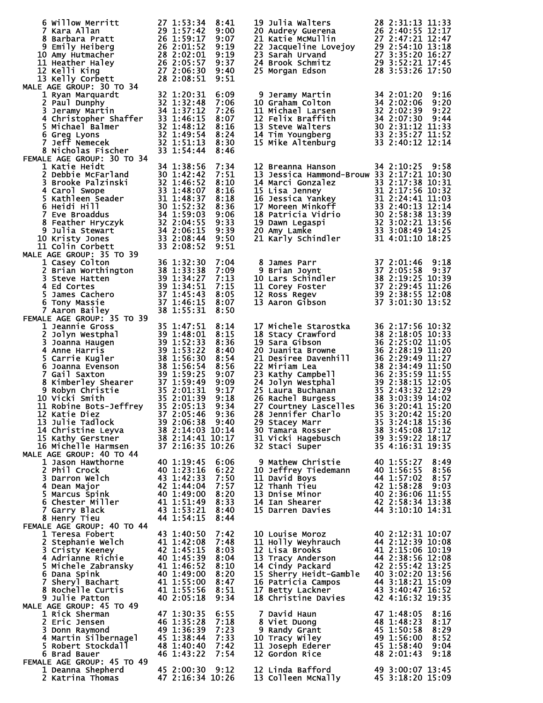| 6 Willow Merritt                                                                                                                                                                                                                                                                         | 27 1:53:34                                                                                                   | 8:41         | 19 Julia Walters                                                                                                                                                                                                                                       | 28 2:31:13 11:33                                                           |
|------------------------------------------------------------------------------------------------------------------------------------------------------------------------------------------------------------------------------------------------------------------------------------------|--------------------------------------------------------------------------------------------------------------|--------------|--------------------------------------------------------------------------------------------------------------------------------------------------------------------------------------------------------------------------------------------------------|----------------------------------------------------------------------------|
| 7 Kara Allan<br>8 Barbara Pratt                                                                                                                                                                                                                                                          | 27 1:53:34<br>29 1:57:42<br>26 1:59:17<br>26 2:01:52<br>28 2:02:01<br>26 2:05:57<br>27 2:06:30<br>28 2:08:51 | 9:00<br>9:07 | 20 Audrey Guerena<br>21 Katie McMullin 27 2:47:21 12:47<br>21 Katie McMullin 27 2:47:21 12:47<br>22 Jacqueline Lovejoy 29 2:54:10 13:18<br>23 Sarah Urvand 27 3:35:20 16:27<br>24 Brook Schmitz 29 3:52:21 17:45<br>25 Morgan Edson<br>28 3:           |                                                                            |
| 9 Emily Heiberg                                                                                                                                                                                                                                                                          |                                                                                                              | 9:19         |                                                                                                                                                                                                                                                        |                                                                            |
| 10 Amy Hutmacher                                                                                                                                                                                                                                                                         |                                                                                                              | 9:19         |                                                                                                                                                                                                                                                        |                                                                            |
| 11 Heather Haley                                                                                                                                                                                                                                                                         |                                                                                                              | 9:37         |                                                                                                                                                                                                                                                        |                                                                            |
| 12 Kelli King                                                                                                                                                                                                                                                                            |                                                                                                              | 9:40         | 25 Morgan Edson                                                                                                                                                                                                                                        | 28 3:53:26 17:50                                                           |
| 13 Kelly Corbett<br>MALE AGE GROUP: 30 TO 34                                                                                                                                                                                                                                             |                                                                                                              | 9:51         |                                                                                                                                                                                                                                                        |                                                                            |
| 1 Ryan Marquardt                                                                                                                                                                                                                                                                         |                                                                                                              | 6:09         | 9 Jeramy Martin                                                                                                                                                                                                                                        | 9:16<br>34 2:01:20                                                         |
| 2 Paul Dunphy                                                                                                                                                                                                                                                                            | $32 1:20:3132 1:32:4834 1:37:12$                                                                             | 7:06         | 10 Graham Colton                                                                                                                                                                                                                                       | 34 2:02:06<br>9:20                                                         |
| 3 Jeramy Martin                                                                                                                                                                                                                                                                          |                                                                                                              | 7:26         | 11 Michael Larsen                                                                                                                                                                                                                                      | 34 2:02:00<br>32 2:02:39<br>9:22                                           |
| 4 Christopher Shaffer<br>5 Michael Balmer<br>6 Greg Lyons<br>7 Jeff Nemecek<br>7 Jeff Nemecek<br>82 1:51:13                                                                                                                                                                              |                                                                                                              | 8:07         | 12 Felix Braffith                                                                                                                                                                                                                                      | 34 2:07:30 9:44<br>30 2:31:12 11:33                                        |
|                                                                                                                                                                                                                                                                                          |                                                                                                              | 8:16<br>8:24 | 13 Steve Walters                                                                                                                                                                                                                                       |                                                                            |
|                                                                                                                                                                                                                                                                                          |                                                                                                              | 8:30         | 14 Tim Youngberg 33 2:35:27 11:52<br>15 Mike Altenburg 33 2:40:12 12:14                                                                                                                                                                                |                                                                            |
| 8 Nicholas Fischer                                                                                                                                                                                                                                                                       | 33 1:54:44                                                                                                   | 8:46         |                                                                                                                                                                                                                                                        |                                                                            |
| FEMALE AGE GROUP: 30 TO 34                                                                                                                                                                                                                                                               |                                                                                                              |              |                                                                                                                                                                                                                                                        |                                                                            |
| 1 Katie Heidt                                                                                                                                                                                                                                                                            | 34 1:38:56                                                                                                   | 7:34         | 12 Breanna Hanson                                                                                                                                                                                                                                      | 34 2:10:25 9:58                                                            |
| 2 Debbie McFarland                                                                                                                                                                                                                                                                       | 30 1:42:42                                                                                                   | 7:51         | 13 Jessica Hammond-Brouw 33 2:17:21 10:30                                                                                                                                                                                                              |                                                                            |
| 3 Brooke Palzinski<br>4 Carol Swope                                                                                                                                                                                                                                                      | $32$ 1:46:52<br>33 1:48:07                                                                                   | 8:10<br>8:16 | 14 Marci Gonzalez                                                                                                                                                                                                                                      | 33 2:17:38 10:31                                                           |
| 4 Carol Swope<br>5 Kathleen Seader<br>5 Kathleen Seader<br>33 1:48:07<br>5 Kathleen Seader<br>31 1:48:37<br>6 Heidi Hill<br>30 1:52:32<br>7 Eve Broaddus<br>34 1:59:03<br>8 Feather Hryczyk<br>32 2:04:55<br>9 Julia Stewart<br>10 Kristy Jones<br>33 2:08                               |                                                                                                              | 8:18         | 14 Marci Gonzalez<br>15 Lisa Jenney<br>15 Lisa Jenney<br>16 Jessica Yankey<br>16 Jessica Yankey<br>16 Jessica Yankey<br>17 Moreen Minkoff<br>18 Patricia Vidrio<br>19 Dawn Legaspi<br>20 Amy Lamke<br>21 Arrly Schindler<br>21 Arrly Schindler<br>19 3 |                                                                            |
|                                                                                                                                                                                                                                                                                          |                                                                                                              | 8:36         |                                                                                                                                                                                                                                                        |                                                                            |
|                                                                                                                                                                                                                                                                                          |                                                                                                              | 9:06         |                                                                                                                                                                                                                                                        |                                                                            |
|                                                                                                                                                                                                                                                                                          |                                                                                                              | 9:33         |                                                                                                                                                                                                                                                        |                                                                            |
|                                                                                                                                                                                                                                                                                          |                                                                                                              | 9:39         |                                                                                                                                                                                                                                                        |                                                                            |
| 10 Kristy Jones<br>11 Colin Corbett                                                                                                                                                                                                                                                      |                                                                                                              | 9:50<br>9:51 |                                                                                                                                                                                                                                                        |                                                                            |
| MALE AGE GROUP: 35 TO 39                                                                                                                                                                                                                                                                 |                                                                                                              |              |                                                                                                                                                                                                                                                        |                                                                            |
| 1 Casey Colton 35<br>2 Brian Worthington 38 1:32:30<br>3 Steve Hatten 39 1:34:27<br>4 Ed Cortes 39 1:34:27<br>5 James Cachero 37 1:45:43<br>6 Tony Massie 37 1:45:43<br>7 Aaron Bailey 38 1:46:15                                                                                        |                                                                                                              | 7:04         | 8 James Parr                                                                                                                                                                                                                                           | 37 2:01:46 9:18                                                            |
|                                                                                                                                                                                                                                                                                          |                                                                                                              | 7:09         | 9 Brian Joynt                                                                                                                                                                                                                                          | 37 2:05:58<br>9:37                                                         |
|                                                                                                                                                                                                                                                                                          |                                                                                                              | 7:13         | 9 Brian Joyne<br>10 Lars Schindler<br>11 Corey Foster<br>12 Ross Regev<br>13 Aaron Gibson<br>13 Aaron Gibson<br>13 3:01:30 13:52                                                                                                                       |                                                                            |
|                                                                                                                                                                                                                                                                                          |                                                                                                              | 7:15         |                                                                                                                                                                                                                                                        |                                                                            |
|                                                                                                                                                                                                                                                                                          |                                                                                                              | 8:05<br>8:07 |                                                                                                                                                                                                                                                        |                                                                            |
|                                                                                                                                                                                                                                                                                          |                                                                                                              | 8:50         |                                                                                                                                                                                                                                                        |                                                                            |
| FEMALE AGE GROUP: 35 TO 39<br>2 Jolyn Westphal<br>2 Jolyn Westphal<br>3 Joanna Haugen<br>3 Joanna Haugen<br>4 Anne Harris<br>5 Carrie Kugler<br>6 Joanna Evenson<br>7 Gail Saxton<br>8 Kimberley Shearer<br>8 Kimberley Shearer<br>8 Saxton<br>8 Saxton<br>8 Saxton<br>8 Saxton<br>8 Sax |                                                                                                              |              |                                                                                                                                                                                                                                                        |                                                                            |
|                                                                                                                                                                                                                                                                                          |                                                                                                              | 8:14         | 17 Michele Starostka       36 2:17:56 10:32<br>18 Stacy Crawford           38 2:18:05 10:33<br>19 Sara Gibson                  36 2:25:02 11:05                                                                                                        |                                                                            |
|                                                                                                                                                                                                                                                                                          |                                                                                                              | 8:15         |                                                                                                                                                                                                                                                        |                                                                            |
|                                                                                                                                                                                                                                                                                          |                                                                                                              | 8:36<br>8:40 | 19 Sara Gibson<br>20 Juanita Browne                                                                                                                                                                                                                    | 36 2:25:02 11:05<br>36 2:28:19 11:20                                       |
|                                                                                                                                                                                                                                                                                          |                                                                                                              | 8:54         | 20 Juanita Browne<br>21 Desiree Davenhill 36 2:29:49 11:27<br>28 2:24:49 11:50                                                                                                                                                                         |                                                                            |
|                                                                                                                                                                                                                                                                                          |                                                                                                              | 8:56         | 22 Miriam Lea                                                                                                                                                                                                                                          | 38 2:34:49 11:50                                                           |
|                                                                                                                                                                                                                                                                                          |                                                                                                              | 9:07         | 22 Miriam Lea 38 2:34:49 11:50<br>23 Kathy Campbell 36 2:35:59 11:55<br>24 Jolyn Westphal 39 2:38:15 12:05<br>25 Laura Buchanan 35 2:43:32 12:29<br>26 Rachel Burgess 38 3:03:39 14:02<br>27 Courtiney Lascelles 36 3:20:41 15:20<br>27 Co             |                                                                            |
| 8 Kimberley Shearer<br>9 Robyn Christie 35 2:01:31<br>0 Vicki Smith 35 2:01:31                                                                                                                                                                                                           |                                                                                                              | 9:09         |                                                                                                                                                                                                                                                        |                                                                            |
|                                                                                                                                                                                                                                                                                          | 35 2:01:39                                                                                                   | 9:17<br>9:18 |                                                                                                                                                                                                                                                        |                                                                            |
| 10 Vicki Smith<br>11 Robine Bots-Jeffrey 35 2:05:13                                                                                                                                                                                                                                      |                                                                                                              | 9:34         |                                                                                                                                                                                                                                                        |                                                                            |
| 12 Katie Diez                                                                                                                                                                                                                                                                            | 372:05:46                                                                                                    | 9:36         | 28 Jennifer Charlo                                                                                                                                                                                                                                     | 35 3:20:42 15:20                                                           |
| 13 Julie Tadlock                                                                                                                                                                                                                                                                         | 39 2:06:38 9:40                                                                                              |              | 29 Stacey Marr                                                                                                                                                                                                                                         | 35 3:24:18 15:36                                                           |
| 14 Christine Leyva                                                                                                                                                                                                                                                                       | 38 2:14:03 10:14                                                                                             |              | 30 Tamara Rosser                                                                                                                                                                                                                                       | 38 3:45:08 17:12                                                           |
| 15 Kathy Gerstner                                                                                                                                                                                                                                                                        | 38 2:14:41 10:17                                                                                             |              | 31 Vicki Hagebusch                                                                                                                                                                                                                                     | $39\overline{3}:\overline{59}:\overline{22} \ \overline{18}:\overline{17}$ |
| 16 Michelle Harmsen<br>MALE AGE GROUP: 40 TO 44                                                                                                                                                                                                                                          | 37 2:16:35 10:26                                                                                             |              | 32 Staci Super                                                                                                                                                                                                                                         | 35 4:16:31 19:35                                                           |
| 1 Jason Hawthorne                                                                                                                                                                                                                                                                        | 40 1:19:45                                                                                                   | 6:06         | 9 Mathew Christie                                                                                                                                                                                                                                      | 40 1:55:27<br>8:49                                                         |
| 2 Phil Crock                                                                                                                                                                                                                                                                             | 40 1:23:16                                                                                                   | 6:22         | 10 Jeffrey Tiedemann                                                                                                                                                                                                                                   | 40 1:56:55<br>8:56                                                         |
| 3 Darron Welch                                                                                                                                                                                                                                                                           | 43 1:42:33                                                                                                   | 7:50         | 11 David Boys                                                                                                                                                                                                                                          | 44 1:57:02<br>8:57                                                         |
| 4 Dean Major                                                                                                                                                                                                                                                                             | 42 1:44:04                                                                                                   | 7:57         | 12 Thanh Tieu                                                                                                                                                                                                                                          |                                                                            |
| 5 Marcus Spink<br>6 Chester Miller                                                                                                                                                                                                                                                       | 40 1:49:00<br>41 1:51:49                                                                                     | 8:20<br>8:33 | 13 Dnise Minor<br>14 Ian Shearer                                                                                                                                                                                                                       |                                                                            |
| 7 Garry Black                                                                                                                                                                                                                                                                            | 43 1:53:21                                                                                                   | 8:40         | 15 Darren Davies                                                                                                                                                                                                                                       | 42 2:58:34 13:38<br>44 3:10:10 14:31                                       |
| 8 Henry Tieu                                                                                                                                                                                                                                                                             | 44 1:54:15                                                                                                   | 8:44         |                                                                                                                                                                                                                                                        |                                                                            |
| FEMALE AGE GROUP: 40 TO 44                                                                                                                                                                                                                                                               |                                                                                                              |              |                                                                                                                                                                                                                                                        |                                                                            |
| 1 Teresa Fobert                                                                                                                                                                                                                                                                          | 43 1:40:50                                                                                                   | 7:42         | 10 Louise Moroz                                                                                                                                                                                                                                        | 40 2:12:31 10:07                                                           |
| 2 Stephanie Welch                                                                                                                                                                                                                                                                        | 41 1:42:08                                                                                                   | 7:48         | 11 Holly Weyhrauch                                                                                                                                                                                                                                     | 44 2:12:39 10:08                                                           |
| 3 Cristy Keeney<br>4 Adrianne Richie                                                                                                                                                                                                                                                     | 42 1:45:15<br>40 1:45:39                                                                                     | 8:03<br>8:04 | 12 Lisa Brooks<br>13 Tracy Anderson                                                                                                                                                                                                                    | 41 2:15:06 10:19<br>44 2:38:56 12:08                                       |
| 5 Michele Zabransky                                                                                                                                                                                                                                                                      | 41 1:46:52                                                                                                   | 8:10         | 14 Cindy Packard                                                                                                                                                                                                                                       | 42 2:55:42 13:25                                                           |
| 6 Dana Spink                                                                                                                                                                                                                                                                             | 40 1:49:00                                                                                                   | 8:20         | 15 Sherry Heidt-Gamble 40 3:02:20 13:56                                                                                                                                                                                                                |                                                                            |
| 7 Sheryl Bachart                                                                                                                                                                                                                                                                         | 41 1:55:00                                                                                                   | 8:47         | 16 Patricia Campos                                                                                                                                                                                                                                     | 44 3:18:21 15:09                                                           |
| 8 Rochelle Curtis                                                                                                                                                                                                                                                                        | 41 1:55:56                                                                                                   | 8:51         | 17 Betty Lackner                                                                                                                                                                                                                                       | 43 3:40:47 16:52                                                           |
| 9 Julie Patton                                                                                                                                                                                                                                                                           | 40 2:05:18                                                                                                   | 9:34         | 18 Christine Davies                                                                                                                                                                                                                                    | 42 4:16:32 19:35                                                           |
| MALE AGE GROUP: 45 TO 49<br>1 Rick Sherman                                                                                                                                                                                                                                               | 47 1:30:35                                                                                                   | 6:55         | 7 David Haun                                                                                                                                                                                                                                           | 47 1:48:05<br>8:16                                                         |
| 2 Eric Jensen                                                                                                                                                                                                                                                                            | 46 1:35:28                                                                                                   | 7:18         | 8 Viet Duong                                                                                                                                                                                                                                           | 48 1:48:23<br>8:17                                                         |
| 3 Donn Raymond                                                                                                                                                                                                                                                                           | 49 1:36:39                                                                                                   | 7:23         | 9 Randy Grant                                                                                                                                                                                                                                          | 8:29<br>45 1:50:58                                                         |
| 4 Martin Silbernagel                                                                                                                                                                                                                                                                     | 45 1:38:44                                                                                                   | 7:33         | 10 Tracy Wiley                                                                                                                                                                                                                                         | 49 1:56:00<br>8:52                                                         |
| 5 Robert Stockdall                                                                                                                                                                                                                                                                       | 48 1:40:40                                                                                                   | 7:42         | 11 Joseph Ederer                                                                                                                                                                                                                                       | 45 1:58:40<br>9:04                                                         |
| 6 Brad Bauer<br>FEMALE AGE GROUP: 45 TO 49                                                                                                                                                                                                                                               | 46 1:43:22                                                                                                   | 7:54         | <b>12 Gordon Rice</b>                                                                                                                                                                                                                                  | 48 2:01:43<br>9:18                                                         |
| 1 Deanna Shepherd                                                                                                                                                                                                                                                                        | 45 2:00:30                                                                                                   | 9:12         |                                                                                                                                                                                                                                                        |                                                                            |
| 2 Katrina Thomas                                                                                                                                                                                                                                                                         | 47 2:16:34 10:26                                                                                             |              | 12 Linda Bafford 49 3:00:07 13:45<br>13 Colleen McNally 45 3:18:20 15:09                                                                                                                                                                               |                                                                            |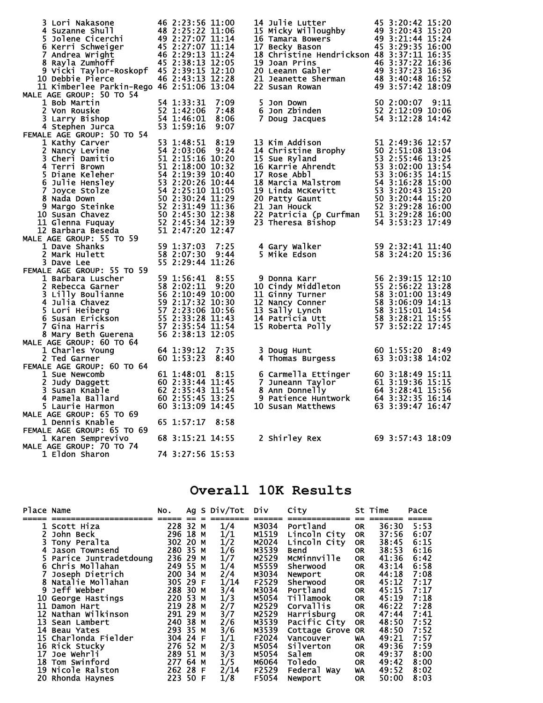| 3 Lori Nakasone<br>48 2:25:22 11:06<br>5 Jolene Cicerchi<br>6 Kerri Schweiger<br>7 Andrea Wright<br>8 Rayla Zumhoff<br>8 Rayla Zumhoff<br>16 2:29:13 11:24<br>8 Rayla Zumhoff<br>9 Vicki Taylor-Roskopf 45 2:39:15 12:10<br>0 Debbie Pierce                                     46 2:43:13 12:28<br>10 Debbie Pierce<br>11 Kimberlee Parkin-Rego 46 2:51:06 13:04<br>MALE AGE GROUP: 50 TO 54 | 46 2:23:56 11:00                                                                                                                |      | 14 Julie Lutter<br>15 Micky Willoughby<br>16 Tamara Bowers<br>16 Tamara Bowers<br>17 Becky Bason<br>17 Becky Bason<br>15 3:29:35 16:00<br>17 Becky Bason<br>18 Christine Hendrickson 48 3:37:11 16:35<br>19 Joan Prins<br>20 Leeann Gabler<br>21 Jeanette Sherman<br>21 Jeanette Sherman<br>22 Susan Rowan<br>22 Susan Rowan<br>23 31:57:42 18:09 | 45 3:20:42 15:20 |  |
|-----------------------------------------------------------------------------------------------------------------------------------------------------------------------------------------------------------------------------------------------------------------------------------------------------------------------------------------------------------------------------------------------|---------------------------------------------------------------------------------------------------------------------------------|------|---------------------------------------------------------------------------------------------------------------------------------------------------------------------------------------------------------------------------------------------------------------------------------------------------------------------------------------------------|------------------|--|
| 1 Bob Martin                                                                                                                                                                                                                                                                                                                                                                                  | 54 1:33:31<br>52 1:42:06<br>54 1:46:01<br>53 1:59:16                                                                            | 7:09 | 50  2:00:07    9:11<br>52  2:12:09  10:06<br>5 Jon Down                                                                                                                                                                                                                                                                                           |                  |  |
| 2 Von Rouske                                                                                                                                                                                                                                                                                                                                                                                  |                                                                                                                                 | 7:48 | 6 Jon Zbinden                                                                                                                                                                                                                                                                                                                                     |                  |  |
| 3 Larry Bishop                                                                                                                                                                                                                                                                                                                                                                                |                                                                                                                                 | 8:06 | 7 Doug Jacques 54 3:12:28 14:42                                                                                                                                                                                                                                                                                                                   |                  |  |
| 4 Stephen Jurca                                                                                                                                                                                                                                                                                                                                                                               | 53 1:59:16                                                                                                                      | 9:07 |                                                                                                                                                                                                                                                                                                                                                   |                  |  |
| FEMALE AGE GROUP: 50 TO 54                                                                                                                                                                                                                                                                                                                                                                    | 53 1:48:51                                                                                                                      | 8:19 |                                                                                                                                                                                                                                                                                                                                                   |                  |  |
| 1 Kathy Carver<br>1 Kathy Carver<br>2 Nancy Levine<br>2 Nancy Levine<br>3 Cheri Damitio<br>4 Terri Brown<br>51 2:15:16 10:20<br>4 Terri Brown<br>51 2:15:16 10:20<br>5 Diane Keleher<br>54 2:19:39 10:40<br>51 2:18:00 10:32<br>5 Diane Keleher<br>54 2:19:39 10:40<br>6 J                                                                                                                    |                                                                                                                                 |      | 13 Kim Addison<br>14 Christine Brophy<br>15 Sue Ryland<br>15 Sue Ryland<br>16 Karrie Ahrendt<br>16 Karrie Ahrendt<br>17 Rose Abbl<br>17 Rose Abbl<br>17 Rose Abbl<br>17 Rose Abbl<br>17 Sance 13:02:00<br>13:54<br>17 Sance 13:02:00<br>14:15<br>14:15                                                                                            |                  |  |
|                                                                                                                                                                                                                                                                                                                                                                                               |                                                                                                                                 |      |                                                                                                                                                                                                                                                                                                                                                   |                  |  |
|                                                                                                                                                                                                                                                                                                                                                                                               |                                                                                                                                 |      |                                                                                                                                                                                                                                                                                                                                                   |                  |  |
|                                                                                                                                                                                                                                                                                                                                                                                               |                                                                                                                                 |      |                                                                                                                                                                                                                                                                                                                                                   |                  |  |
|                                                                                                                                                                                                                                                                                                                                                                                               |                                                                                                                                 |      | 17 ROSE ADDI<br>18 Marcia Malstrom<br>19 Linda McKevitt<br>19 Linda McKevitt<br>19 Linda McKevitt<br>15 3 3:20:43 15:20<br>20 Patricia (p Curfman<br>15 3:29:28 16:00<br>22 Patricia (p Curfman<br>15 3:29:28 16:00<br>22 Patricia (p Curfman<br>15                                                                                               |                  |  |
|                                                                                                                                                                                                                                                                                                                                                                                               |                                                                                                                                 |      |                                                                                                                                                                                                                                                                                                                                                   |                  |  |
|                                                                                                                                                                                                                                                                                                                                                                                               |                                                                                                                                 |      |                                                                                                                                                                                                                                                                                                                                                   |                  |  |
|                                                                                                                                                                                                                                                                                                                                                                                               |                                                                                                                                 |      |                                                                                                                                                                                                                                                                                                                                                   |                  |  |
| 10 Susan Chavez                                                                                                                                                                                                                                                                                                                                                                               |                                                                                                                                 |      |                                                                                                                                                                                                                                                                                                                                                   |                  |  |
| 11 Glenna Fuquay                                                                                                                                                                                                                                                                                                                                                                              |                                                                                                                                 |      | 23 Theresa Bishop                                                                                                                                                                                                                                                                                                                                 | 54 3:53:23 17:49 |  |
| 12 Barbara Beseda                                                                                                                                                                                                                                                                                                                                                                             |                                                                                                                                 |      |                                                                                                                                                                                                                                                                                                                                                   |                  |  |
| MALE AGE GROUP: 55 TO 59                                                                                                                                                                                                                                                                                                                                                                      |                                                                                                                                 |      |                                                                                                                                                                                                                                                                                                                                                   |                  |  |
| 1 Dave Shanks                                                                                                                                                                                                                                                                                                                                                                                 | 59 1:37:03                                                                                                                      | 7:25 | 4 Gary Walker                                                                                                                                                                                                                                                                                                                                     | 59 2:32:41 11:40 |  |
| 2 Mark Hulett                                                                                                                                                                                                                                                                                                                                                                                 | 58 2:07:30 9:44                                                                                                                 |      | 5 Mike Edson                                                                                                                                                                                                                                                                                                                                      | 58 3:24:20 15:36 |  |
| 3 Dave Lee                                                                                                                                                                                                                                                                                                                                                                                    | 55 2:29:44 11:26                                                                                                                |      |                                                                                                                                                                                                                                                                                                                                                   |                  |  |
| FEMALE AGE GROUP: 55 TO 59                                                                                                                                                                                                                                                                                                                                                                    |                                                                                                                                 |      |                                                                                                                                                                                                                                                                                                                                                   |                  |  |
|                                                                                                                                                                                                                                                                                                                                                                                               |                                                                                                                                 |      |                                                                                                                                                                                                                                                                                                                                                   |                  |  |
|                                                                                                                                                                                                                                                                                                                                                                                               |                                                                                                                                 |      |                                                                                                                                                                                                                                                                                                                                                   |                  |  |
|                                                                                                                                                                                                                                                                                                                                                                                               |                                                                                                                                 |      |                                                                                                                                                                                                                                                                                                                                                   |                  |  |
|                                                                                                                                                                                                                                                                                                                                                                                               |                                                                                                                                 |      |                                                                                                                                                                                                                                                                                                                                                   |                  |  |
|                                                                                                                                                                                                                                                                                                                                                                                               |                                                                                                                                 |      |                                                                                                                                                                                                                                                                                                                                                   |                  |  |
| VLE AGE GROUP: 55 IO 35<br>1 Barbara Luscher<br>2 Rebecca Garner<br>3 Lilly Boulianne<br>4 Julia Chavez<br>5 Lori Heiberg<br>5 Lori Heiberg<br>5 Lori Heiberg<br>6 Susan Erickson<br>7 Gina Harris<br>8 Mary Beth Guerena<br>8 Mary Beth Guerena<br>5                                                                                                                                         |                                                                                                                                 |      | 9 Donna Karr 56 2:39:15 12:10<br>10 Cindy Middleton 55 2:56:22 13:28<br>11 Ginny Turner 58 3:01:00 13:49<br>12 Nancy Conner 58 3:06:09 14:13<br>13 Sally Lynch 58 3:15:01 14:54<br>14 Patricia Utt 58 3:28:21 15:55<br>15 Roberta Polly 57                                                                                                        |                  |  |
|                                                                                                                                                                                                                                                                                                                                                                                               |                                                                                                                                 |      |                                                                                                                                                                                                                                                                                                                                                   |                  |  |
| MALE AGE GROUP: 60 TO 64                                                                                                                                                                                                                                                                                                                                                                      |                                                                                                                                 |      |                                                                                                                                                                                                                                                                                                                                                   |                  |  |
| 1 Charles Young                                                                                                                                                                                                                                                                                                                                                                               | 64 1:39:12                                                                                                                      | 7:35 | 3 Doug Hunt                                                                                                                                                                                                                                                                                                                                       | 60 1:55:20 8:49  |  |
| 2 Ted Garner                                                                                                                                                                                                                                                                                                                                                                                  | 60 1:53:23                                                                                                                      | 8:40 | 4 Thomas Burgess                                                                                                                                                                                                                                                                                                                                  | 63 3:03:38 14:02 |  |
| FEMALE AGE GROUP: 60 TO 64                                                                                                                                                                                                                                                                                                                                                                    |                                                                                                                                 |      |                                                                                                                                                                                                                                                                                                                                                   |                  |  |
| 1 Sue Newcomb                                                                                                                                                                                                                                                                                                                                                                                 | 61 1:48:01                                                                                                                      | 8:15 |                                                                                                                                                                                                                                                                                                                                                   |                  |  |
| 2 Judy Daggett<br>3 Susan Knable                                                                                                                                                                                                                                                                                                                                                              |                                                                                                                                 |      |                                                                                                                                                                                                                                                                                                                                                   |                  |  |
| 4 Pamela Ballard                                                                                                                                                                                                                                                                                                                                                                              |                                                                                                                                 |      |                                                                                                                                                                                                                                                                                                                                                   |                  |  |
| 5 Laurie Harmon                                                                                                                                                                                                                                                                                                                                                                               | <b>01 1:40.01 01:45<br/>60 2:33:44 11:45<br/>62 2:35:45 11:54<br/>60 2:55:45 13:25<br/>60 3:13:00 14:45</b><br>60 3:13:09 14:45 |      | 6 Carmella Ettinger<br>7 Juneann Taylor<br>8 Ann Donnelly<br>9 Patience Huntwork<br>64 3:28:41 15:56<br>9 Patience Huntwork<br>64 3:32:35 16:14<br>10 Susan Matthews<br>63 3:39:47 16:47<br><b>10 Susan Matthews</b>                                                                                                                              |                  |  |
| MALE AGE GROUP: 65 TO 69                                                                                                                                                                                                                                                                                                                                                                      |                                                                                                                                 |      |                                                                                                                                                                                                                                                                                                                                                   |                  |  |
| 1 Dennis Knable                                                                                                                                                                                                                                                                                                                                                                               | 65 1:57:17                                                                                                                      | 8:58 |                                                                                                                                                                                                                                                                                                                                                   |                  |  |
| FEMALE AGE GROUP: 65 TO 69                                                                                                                                                                                                                                                                                                                                                                    |                                                                                                                                 |      |                                                                                                                                                                                                                                                                                                                                                   |                  |  |
| 1 Karen Semprevivo                                                                                                                                                                                                                                                                                                                                                                            | 68 3:15:21 14:55                                                                                                                |      | 2 Shirley Rex<br>69 3:57:43 18:09                                                                                                                                                                                                                                                                                                                 |                  |  |
| MALE AGE GROUP: 70 TO 74                                                                                                                                                                                                                                                                                                                                                                      |                                                                                                                                 |      |                                                                                                                                                                                                                                                                                                                                                   |                  |  |
| 1 Eldon Sharon                                                                                                                                                                                                                                                                                                                                                                                | 74 3:27:56 15:53                                                                                                                |      |                                                                                                                                                                                                                                                                                                                                                   |                  |  |

## **Overall 10K Results**

| Place Name |                       | NO.      |    |   | Ag S Div/Tot | Div   | City             |           | St Time | Pace |
|------------|-----------------------|----------|----|---|--------------|-------|------------------|-----------|---------|------|
|            | 1 Scott Hiza          | 228 32 M |    |   | 1/4          | M3034 | Portland         | <b>OR</b> | 36:30   | 5:53 |
|            | John Beck             | 296 18 M |    |   | 1/1          | M1519 | Lincoln City     | <b>OR</b> | 37:56   | 6:07 |
|            | Tony Peralta          | 302 20 M |    |   | 1/2          | M2024 | Lincoln City     | <b>OR</b> | 38:45   | 6:15 |
|            | Jason Townsend        | 280 35 M |    |   | 1/6          | M3539 | <b>Bend</b>      | <b>OR</b> | 38:53   | 6:16 |
|            | Parice Juntradetdoung | 236 29   |    | м | 1/7          | M2529 | MCMinnville      | <b>OR</b> | 41:36   | 6:42 |
|            | 6 Chris Mollahan      | 249 55 M |    |   | 1/4          | M5559 | <b>Sherwood</b>  | <b>OR</b> | 43:14   | 6:58 |
|            | Joseph Dietrich       | 200 34 M |    |   | 2/4          | M3034 | Newport          | <b>OR</b> | 44:18   | 7:08 |
|            | Natalie Mollahan      | 305 29 F |    |   | 1/14         | F2529 | Sherwood         | <b>OR</b> | 45:12   | 7:17 |
| 9          | Jeff Webber           | 288 30 M |    |   | 3/4          | M3034 | Portland         | <b>OR</b> | 45:15   | 7:17 |
| 10         | George Hastings       | 220 53 M |    |   | 1/3          | M5054 | Tillamook        | <b>OR</b> | 45:19   | 7:18 |
| 11         | Damon Hart            | 219      | 28 | м | 2/7          | M2529 | <b>Corvallis</b> | <b>OR</b> | 46:22   | 7:28 |
| 12         | Nathan Wilkinson      | 291 29   |    | м | 3/7          | M2529 | Harrisburg       | <b>OR</b> | 47:44   | 7:41 |
| 13         | Sean Lambert          | 240 38 M |    |   | 2/6          | M3539 | Pacific City     | <b>OR</b> | 48:50   | 7:52 |
| 14         | <b>Beau Yates</b>     | 293 35   |    | M | 3/6          | M3539 | Cottage Grove    | <b>OR</b> | 48:50   | 7:52 |
| 15         | Charlonda Fielder     | 304 24 F |    |   | 1/1          | F2024 | Vancouver        | WA        | 49:21   | 7:57 |
|            | 16 Rick Stucky        | 276 52 M |    |   | 2/3          | M5054 | Silverton        | <b>OR</b> | 49:36   | 7:59 |
| 17         | Joe Wehrli            | 289 51 M |    |   | 3/3          | M5054 | Salem            | <b>OR</b> | 49:37   | 8:00 |
| 18         | Tom Swinford          | 277 64 M |    |   | 1/5          | M6064 | Toledo           | <b>OR</b> | 49:42   | 8:00 |
| 19         | Nicole Ralston        | 262 28 F |    |   | 2/14         | F2529 | Federal Way      | WA        | 49:52   | 8:02 |
|            | 20 Rhonda Haynes      | 223 50 F |    |   | 1/8          | F5054 | Newport          | <b>OR</b> | 50:00   | 8:03 |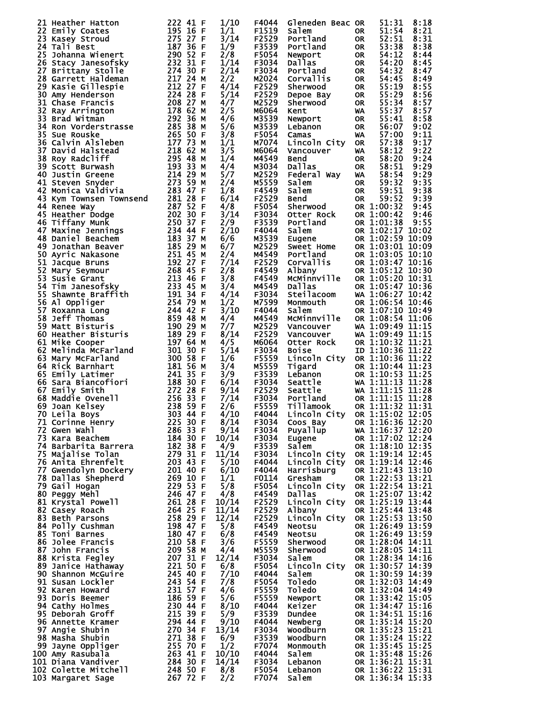| 21 Heather Hatton                                                                                                                                                                                                                                    | 222 41 F             | 1/10         | F4044          | Gleneden Beac OR                                                                                                                                                                                                                                                                     |                        | 51:31                                | 8:18         |
|------------------------------------------------------------------------------------------------------------------------------------------------------------------------------------------------------------------------------------------------------|----------------------|--------------|----------------|--------------------------------------------------------------------------------------------------------------------------------------------------------------------------------------------------------------------------------------------------------------------------------------|------------------------|--------------------------------------|--------------|
| 22 Emily Coates                                                                                                                                                                                                                                      | 195 16 F             | 1/1          | F1519          | Salem                                                                                                                                                                                                                                                                                | OR.                    | 51:54                                | 8:21         |
| 23 Kasey Stroud                                                                                                                                                                                                                                      | 275 27 F             | 3/14         | F2529          | Portland                                                                                                                                                                                                                                                                             | <b>OR</b>              | 52:51                                | 8:31         |
| 24 Tali Best                                                                                                                                                                                                                                         | 187 36 F             | 1/9          | F3539          | Portland                                                                                                                                                                                                                                                                             | <b>OR</b>              | 53:38                                | 8:38         |
| 25 Johanna Wienert                                                                                                                                                                                                                                   | 290 52 F             | 2/8          | F5054          | Newport                                                                                                                                                                                                                                                                              | <b>OR</b>              | 54:12                                | 8:44         |
| 26 Stacy Janesofsky                                                                                                                                                                                                                                  | 232 31 F             | 1/14         | F3034          | Dallas                                                                                                                                                                                                                                                                               | <b>OR</b>              | 54:20                                | 8:45         |
| 27 Brittany Stolle                                                                                                                                                                                                                                   | 274 30 F<br>217 24 M | 2/14         | F3034          | Portland                                                                                                                                                                                                                                                                             | <b>OR</b>              | 54:32                                | 8:47         |
| 28 Garrett Haldeman<br>29 Kasie Gillespie                                                                                                                                                                                                            | 212 27 F             | 2/2<br>4/14  | M2024<br>F2529 | Corvallis<br>Sherwood                                                                                                                                                                                                                                                                | <b>OR</b><br><b>OR</b> | 54:45<br>55:19                       | 8:49<br>8:55 |
| 30 Amy Henderson                                                                                                                                                                                                                                     | 224 28 F             | 5/14         | F2529          |                                                                                                                                                                                                                                                                                      | <b>OR</b>              | 55:29                                | 8:56         |
| 31 Chase Francis                                                                                                                                                                                                                                     | 208 27 M             | 4/7          | M2529          | Depoe Bay<br>Sherwood                                                                                                                                                                                                                                                                | <b>OR</b>              | 55:34                                | 8:57         |
| 32 Ray Arrington                                                                                                                                                                                                                                     | 178 62 M             | 2/5          | M6064          | Kent                                                                                                                                                                                                                                                                                 | WA                     | 55:37                                | 8:57         |
| 33 Brad Witman                                                                                                                                                                                                                                       | 292 36 M             | 4/6          | M3539          | Newport                                                                                                                                                                                                                                                                              | <b>OR</b>              | 55:41                                | 8:58         |
| 34 Ron Vorderstrasse<br>35 Sue Beugke                                                                                                                                                                                                                | 285 38 M             | 5/6          | M3539          | Lebanon                                                                                                                                                                                                                                                                              | <b>OR</b>              | 56:07                                | 9:02         |
| 35 Sue Rouske                                                                                                                                                                                                                                        | 265 50 F             | 3/8          | F5054          | Camas                                                                                                                                                                                                                                                                                | WA                     | 57:00                                | 9:11         |
| 36 Calvin Alsleben                                                                                                                                                                                                                                   | 177 73 M             | 1/1          | M7074          | Lincoln City                                                                                                                                                                                                                                                                         | <b>OR</b>              | 57:38                                | 9:17         |
| 37<br>David Halstead                                                                                                                                                                                                                                 | 218 62 M             | 3/5          | M6064          | Vancouver                                                                                                                                                                                                                                                                            | WA                     | 58:12                                | 9:22         |
| 38 Roy Radcliff                                                                                                                                                                                                                                      | 295 48 M             | 1/4          | M4549          | Bend                                                                                                                                                                                                                                                                                 | <b>OR</b>              | 58:20                                | 9:24         |
| 38 Roy Rauchin<br>39 Scott Burwash<br>40 Justin Greene<br>41 Steven Syddria<br>43 Kym Townsen Townsend<br>43 Romee Way                                                                                                                               | 193 33 M             | 4/4          | M3034          | Dallas                                                                                                                                                                                                                                                                               | <b>OR</b>              | 58:51                                | 9:29         |
|                                                                                                                                                                                                                                                      | 214 29 M             | 5/7          | M2529          | Federal Way                                                                                                                                                                                                                                                                          | WA                     | 58:54                                | 9:29         |
|                                                                                                                                                                                                                                                      | 273 59 M             | 2/4          | M5559          | Salem                                                                                                                                                                                                                                                                                | <b>OR</b>              | 59:32                                | 9:35         |
|                                                                                                                                                                                                                                                      | 283 47 F<br>281 28 F | 1/8<br>6/14  | F4549<br>F2529 | Bend<br>Sherwood<br>Otter                                                                                                                                                                                                                                                            | <b>OR</b>              | 59:51<br>59:52                       | 9:38<br>9:39 |
| 44 Renee Way                                                                                                                                                                                                                                         | 287 52 F             | 4/8          | F5054          |                                                                                                                                                                                                                                                                                      | <b>OR</b>              | OR 1:00:32                           | 9:45         |
| <b>First School School</b><br>16 Tiffany Munk<br>17 Maxine Jennings<br>18 Daniel Beachem<br>19 Jonathan Beaver<br>51 Jacque Bruns<br>52 Mary Seymour<br>73 Susie Grant<br>14 Tim Janesofsky<br>5 Shawnts                                             | 202 30 F             | 3/14         | F3034          |                                                                                                                                                                                                                                                                                      |                        | OR 1:00:42                           | 9:46         |
|                                                                                                                                                                                                                                                      | 250 37 F             | 2/9          | F3539          | Portland                                                                                                                                                                                                                                                                             |                        | OR 1:01:38                           | 9:55         |
|                                                                                                                                                                                                                                                      | 234 44 F             | 2/10         | F4044          | Salem                                                                                                                                                                                                                                                                                |                        | OR 1:02:17 10:02                     |              |
|                                                                                                                                                                                                                                                      | 183 37 M             | 6/6          | M3539          | Eugene                                                                                                                                                                                                                                                                               |                        | OR 1:02:59 10:09                     |              |
|                                                                                                                                                                                                                                                      | 185 29 M             | 6/7          | M2529          | Sweet Home                                                                                                                                                                                                                                                                           |                        | OR 1:03:01 10:09                     |              |
|                                                                                                                                                                                                                                                      | 251 45 M             | 2/4          | M4549          | Portland                                                                                                                                                                                                                                                                             |                        | OR 1:03:05 10:10                     |              |
|                                                                                                                                                                                                                                                      | 192 27 F             | 7/14         | F2529          | Corvallis                                                                                                                                                                                                                                                                            |                        | OR 1:03:47 10:16                     |              |
|                                                                                                                                                                                                                                                      | 268 45 F             | 2/8          | F4549          | Albany                                                                                                                                                                                                                                                                               |                        | OR 1:05:12 10:30                     |              |
|                                                                                                                                                                                                                                                      | 213 46 F             | 3/8          | F4549          | MCMinnville                                                                                                                                                                                                                                                                          |                        | OR 1:05:20 10:31                     |              |
|                                                                                                                                                                                                                                                      | 233 45 M             | 3/4          | M4549          | Dallas                                                                                                                                                                                                                                                                               |                        | OR 1:05:47 10:36                     |              |
| 55 Shawnte Braffith<br>56 Al Oppliger                                                                                                                                                                                                                | 191 34 F             | 4/14         | F3034          | Steilacoom                                                                                                                                                                                                                                                                           |                        | WA 1:06:27 10:42                     |              |
| 56 Al Oppliger                                                                                                                                                                                                                                       | 254 79 M             | 1/2          | M7599          | Monmouth                                                                                                                                                                                                                                                                             |                        | OR 1:06:54 10:46                     |              |
| 57 Roxanna Long                                                                                                                                                                                                                                      | 244 42 F             | 3/10         | F4044          | Salem                                                                                                                                                                                                                                                                                |                        | OR 1:07:10 10:49                     |              |
| 58 Jeff Thomas                                                                                                                                                                                                                                       | 859 48 M             | 4/4          | M4549          | McMinnville                                                                                                                                                                                                                                                                          |                        | OR 1:08:54 11:06                     |              |
| 59 Matt Bisturis<br>59 Matt Bisturis<br>60 Heather Bisturis                                                                                                                                                                                          | 190 29 M<br>189 29 F | 7/7          | M2529          | Vancouver                                                                                                                                                                                                                                                                            |                        | WA 1:09:49 11:15                     |              |
| 61 Mike Cooper                                                                                                                                                                                                                                       | 197 64 M             | 8/14<br>4/5  | F2529<br>M6064 | Vancouver<br>Otter Rock                                                                                                                                                                                                                                                              |                        | WA 1:09:49 11:15<br>OR 1:10:32 11:21 |              |
| 62 Melinda McFarland                                                                                                                                                                                                                                 | 301 30 F             | 5/14         | F3034          | <b>Bojse</b>                                                                                                                                                                                                                                                                         |                        | ID 1:10:36 11:22                     |              |
| 63 Mary McFarland                                                                                                                                                                                                                                    | 300 58 F             | 1/6          | F5559          | Lincoln City                                                                                                                                                                                                                                                                         |                        | OR 1:10:36 11:22                     |              |
| 64 Rick Barnhart                                                                                                                                                                                                                                     | 181 56 M             | 3/4          | M5559          | Tigard                                                                                                                                                                                                                                                                               |                        | OR 1:10:44 11:23                     |              |
| 65 Emily Latimer                                                                                                                                                                                                                                     | 241 35 F             | 3/9          | F3539          | Lebanon                                                                                                                                                                                                                                                                              |                        | OR 1:10:53 11:25                     |              |
|                                                                                                                                                                                                                                                      | 188 30 F             | 6/14         | F3034          | <b>Lebanon<br/>Seattle<br/>Seattle<br/>Portland</b>                                                                                                                                                                                                                                  |                        | WA 1:11:13 11:28                     |              |
|                                                                                                                                                                                                                                                      | 272 28 F             | 9/14         | F2529          |                                                                                                                                                                                                                                                                                      |                        | WA 1:11:15 11:28                     |              |
| <b>65 EMTITY LALINGI<br/>66 Sara Biancofiori<br/>67 Emily Smith<br/>68 Maddie Ovenell<br/>69 Joan Kelsey<br/>70 Leila Rove</b>                                                                                                                       | 256 33 F             | 7/14         | F3034          | Portland                                                                                                                                                                                                                                                                             |                        | OR 1:11:15 11:28                     |              |
|                                                                                                                                                                                                                                                      | 238 59 F             | 2/6          | F5559          | <b>Tillamook</b>                                                                                                                                                                                                                                                                     |                        | OR 1:11:32 11:31                     |              |
|                                                                                                                                                                                                                                                      |                      | 4/10         | F4044          | Lincoln City OR 1:15:02 12:05                                                                                                                                                                                                                                                        |                        |                                      |              |
|                                                                                                                                                                                                                                                      |                      | 8/14         | F3034          | Coos Bay<br>Puyallup<br>Puyallup<br>Rugene<br>Rugene<br>Rugene<br>Rugene<br>Rugene<br>Rugene<br>Rugene<br>Rugene<br>Rugene<br>Rugene<br>Rugene<br>Rugene<br>Rugene<br>Rugene<br>Rugene<br>Rugene<br>Rugene<br>Rugene<br>Rugene<br>Rugene<br>Rugene<br>Rugene<br>Rugene<br>Rugene<br> |                        |                                      |              |
|                                                                                                                                                                                                                                                      |                      | 9/14         | F3034          |                                                                                                                                                                                                                                                                                      |                        |                                      |              |
|                                                                                                                                                                                                                                                      |                      | 10/14        | F3034          |                                                                                                                                                                                                                                                                                      |                        |                                      |              |
|                                                                                                                                                                                                                                                      |                      | 4/9<br>11/14 | F3539          | Salem                                                                                                                                                                                                                                                                                |                        | OR 1:18:10 12:35<br>OR 1:19:14 12:45 |              |
|                                                                                                                                                                                                                                                      |                      | 5/10         | F3034<br>F4044 | Lincoln City<br>Lincoln City                                                                                                                                                                                                                                                         |                        | OR 1:19:14 12:46                     |              |
|                                                                                                                                                                                                                                                      |                      | 6/10         | F4044          | Harrisburg                                                                                                                                                                                                                                                                           |                        | OR 1:21:43 13:10                     |              |
|                                                                                                                                                                                                                                                      |                      | 1/1          | F0114          | Gresham                                                                                                                                                                                                                                                                              |                        | OR 1:22:53 13:21                     |              |
|                                                                                                                                                                                                                                                      |                      | 5/8          | F5054          | Lincoln City OR 1:22:54 13:21                                                                                                                                                                                                                                                        |                        |                                      |              |
|                                                                                                                                                                                                                                                      |                      | 4/8          | F4549          | Dallas                                                                                                                                                                                                                                                                               |                        | OR 1:25:07 13:42                     |              |
|                                                                                                                                                                                                                                                      |                      | 10/14        | F2529          | Lincoln City                                                                                                                                                                                                                                                                         |                        | OR 1:25:19 13:44                     |              |
|                                                                                                                                                                                                                                                      |                      | 11/14        | F2529          | Albany                                                                                                                                                                                                                                                                               |                        | OR 1:25:44 13:48                     |              |
|                                                                                                                                                                                                                                                      |                      | 12/14        | F2529          | Lincoln City OR 1:25:53 13:50                                                                                                                                                                                                                                                        |                        |                                      |              |
|                                                                                                                                                                                                                                                      |                      | 5/8          | F4549          | <b>Neotsu</b>                                                                                                                                                                                                                                                                        |                        | OR 1:26:49 13:59                     |              |
|                                                                                                                                                                                                                                                      |                      | 6/8          | F4549          | <b>Neotsu</b><br><b>Neotsu<br/>Sherwood<br/>Sherwood<br/>Salem</b>                                                                                                                                                                                                                   |                        | OR 1:26:49 13:59                     |              |
|                                                                                                                                                                                                                                                      |                      | 3/6          | F5559          |                                                                                                                                                                                                                                                                                      |                        | OR 1:28:04 14:11                     |              |
|                                                                                                                                                                                                                                                      |                      | 4/4          | M5559          |                                                                                                                                                                                                                                                                                      |                        | OR 1:28:05 14:11                     |              |
|                                                                                                                                                                                                                                                      |                      | 12/14        | F3034          | Salem                                                                                                                                                                                                                                                                                |                        | OR 1:28:34 14:16                     |              |
|                                                                                                                                                                                                                                                      |                      | 6/8<br>7/10  | F5054<br>F4044 | Lincoln City OR 1:30:57 14:39<br>Salem                                                                                                                                                                                                                                               |                        | OR 1:30:59 14:39                     |              |
|                                                                                                                                                                                                                                                      |                      | 7/8          | F5054          | Toledo                                                                                                                                                                                                                                                                               |                        | OR 1:32:03 14:49                     |              |
|                                                                                                                                                                                                                                                      |                      | 4/6          | F5559          | Toledo                                                                                                                                                                                                                                                                               |                        | OR 1:32:04 14:49                     |              |
|                                                                                                                                                                                                                                                      |                      | 5/6          | F5559          |                                                                                                                                                                                                                                                                                      |                        | OR 1:33:42 15:05                     |              |
|                                                                                                                                                                                                                                                      |                      | 8/10         | F4044          | Newport<br>Keizer                                                                                                                                                                                                                                                                    |                        | OR 1:34:47 15:16                     |              |
|                                                                                                                                                                                                                                                      |                      | 5/9          | F3539          |                                                                                                                                                                                                                                                                                      |                        | OR 1:34:51 15:16                     |              |
|                                                                                                                                                                                                                                                      |                      | 9/10         | F4044          | Dundee<br>Newberg                                                                                                                                                                                                                                                                    |                        | OR 1:35:14 15:20                     |              |
|                                                                                                                                                                                                                                                      |                      | 13/14        | F3034          | woodburn                                                                                                                                                                                                                                                                             |                        | OR 1:35:23 15:21                     |              |
|                                                                                                                                                                                                                                                      |                      | 6/9          | F3539          | Woodburn                                                                                                                                                                                                                                                                             |                        | OR 1:35:24 15:22                     |              |
|                                                                                                                                                                                                                                                      |                      | 1/2          | F7074          | Monmouth                                                                                                                                                                                                                                                                             |                        | OR 1:35:45 15:25                     |              |
|                                                                                                                                                                                                                                                      |                      | 10/10        | F4044          | Salem                                                                                                                                                                                                                                                                                |                        | OR 1:35:48 15:26                     |              |
| 68 Maddie Ovenell<br>69 Joan Kelsey<br>70 Leila Boys<br>71 Corinne Henry<br>72 Gwen wahl<br>72 Gwen Wallise Tolan<br>74 Barbarita Barrera<br>75 Kara Beachem<br>74 Barbarita Barrera<br>75 Anila Ehrenfelt<br>76 Anila Ehrenfelt<br>76 Anila Ehrenfe |                      | 14/14        | F3034          | Lebanon                                                                                                                                                                                                                                                                              |                        | OR 1:36:21 15:31                     |              |
|                                                                                                                                                                                                                                                      |                      | 8/8          | F5054          | Lebanon                                                                                                                                                                                                                                                                              |                        | OR 1:36:22 15:31                     |              |
|                                                                                                                                                                                                                                                      |                      | 2/2          | F7074          | Salem                                                                                                                                                                                                                                                                                |                        | OR 1:36:34 15:33                     |              |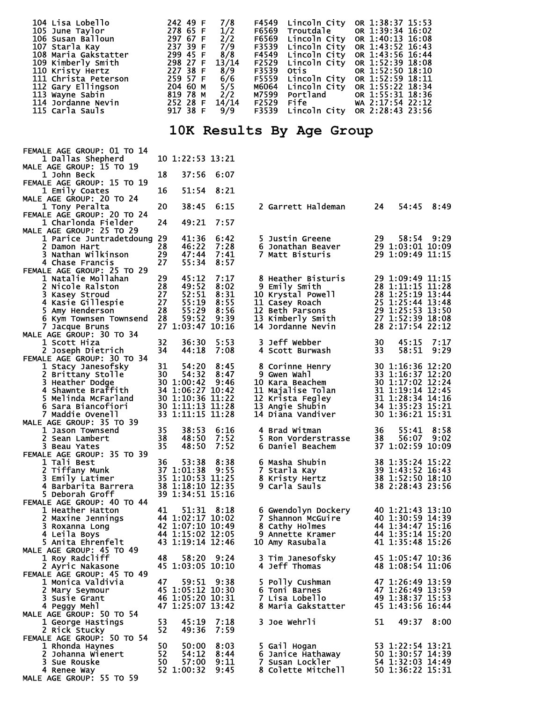| 104 Lisa Lobello     | 242 49 F     | 7/8   | F4549 Lincoln City | OR 1:38:37 15:53                    |
|----------------------|--------------|-------|--------------------|-------------------------------------|
| 105 June Taylor      | 278 65 F     | 1/2   |                    | F6569 Troutdale OR 1:39:34 16:02    |
| 106 Susan Balloun    | 297 67 F     | 2/2   | F6569 Lincoln City | OR 1:40:13 16:08                    |
| 107 Starla Kay       | 237 39 F     | 7/9   | F3539 Lincoln City | OR 1:43:52 16:43                    |
| 108 Maria Gakstatter | 299 45 F     | 8/8   |                    | F4549 Lincoln City OR 1:43:56 16:44 |
| 109 Kimberly Smith   | 298 27 F     | 13/14 |                    | F2529 Lincoln City OR 1:52:39 18:08 |
| 110 Kristy Hertz     | 227 38 F 8/9 |       | F3539 Otis         | OR 1:52:50 18:10                    |
| 111 Christa Peterson | 259 57 F     | 6/6   | F5559 Lincoln City | OR 1:52:59 18:11                    |
| 112 Gary Ellingson   | 204 60 M     | 5/5   |                    | M6064 Lincoln City OR 1:55:22 18:34 |
| 113 Wayne Sabin      | 819 78 M     | 2/2   |                    | M7599 Portland OR 1:55:31 18:36     |
| 114 Jordanne Nevin   | 252 28 F     | 14/14 |                    | F2529 Fife WA 2:17:54 22:12         |
| 115 Carla Sauls      | 917 38 F     | 9/9   | F3539 Lincoln City | OR 2:28:43 23:56                    |

## **10K Results By Age Group**

| FEMALE AGE GROUP: 01 TO 14                       |          |                                                          |               |                                |     |                                      |      |
|--------------------------------------------------|----------|----------------------------------------------------------|---------------|--------------------------------|-----|--------------------------------------|------|
| 1 Dallas Shepherd                                |          | 10 1:22:53 13:21                                         |               |                                |     |                                      |      |
| MALE AGE GROUP: 15 TO 19                         |          |                                                          |               |                                |     |                                      |      |
| 1 John Beck                                      | 18       | 37:56                                                    | 6:07          |                                |     |                                      |      |
| FEMALE AGE GROUP: 15 TO 19<br>1 Emily Coates     | 16       | 51:54                                                    | 8:21          |                                |     |                                      |      |
| MALE AGE GROUP: 20 TO 24                         |          |                                                          |               |                                |     |                                      |      |
| 1 Tony Peralta                                   | 20       | 38:45                                                    | 6:15          | 2 Garrett Haldeman             | 24  | 54:45                                | 8:49 |
| FEMALE AGE GROUP: 20 TO 24                       |          |                                                          |               |                                |     |                                      |      |
| 1 Charlonda Fielder                              | 24       | 49:21                                                    | 7:57          |                                |     |                                      |      |
| MALE AGE GROUP: 25 TO 29                         |          |                                                          |               |                                |     |                                      |      |
| 1 Parice Juntradetdoung 29                       |          | 41:36                                                    | 6:42          | 5 Justin Greene                | 29  | 58:54 9:29                           |      |
| 2 Damon Hart                                     | 28       | 46:22                                                    | 7:28          | 6 Jonathan Beaver              |     | 29 1:03:01 10:09                     |      |
| 3 Nathan Wilkinson<br>4 Chase Francis            | 29<br>27 | 47:44<br>55:34                                           | -7:41<br>8:57 | 7 Matt Bisturis                |     | 29 1:09:49 11:15                     |      |
| FEMALE AGE GROUP: 25 TO 29                       |          |                                                          |               |                                |     |                                      |      |
| 1 Natalie Mollahan                               | 29       | 45:12                                                    | 7:17          | 8 Heather Bisturis             |     | 29 1:09:49 11:15                     |      |
| 2 Nicole Ralston                                 | 28       | 49:52                                                    | 8:02          | 9 Emily Smith                  |     | 28 1:11:15 11:28                     |      |
| 3 Kasey Stroud                                   | 27       | 52:51                                                    | 8:31          | 10 Krystal Powell              |     | 28 1:25:19 13:44                     |      |
| 4 Kasie Gillespie                                | 27       | 55:19                                                    | 8:55          | 11 Casey Roach                 |     | 25 1:25:44 13:48                     |      |
| 5 Amy Henderson                                  | 28       | 55:29                                                    | 8:56          | 12 Beth Parsons                |     | 29 1:25:53 13:50                     |      |
| 6 Kym Townsen Townsend                           | 28       | 59:52                                                    | 9:39          | 13 Kimberly Smith              |     | 27 1:52:39 18:08                     |      |
| 7 Jacque Bruns                                   |          | 27 1:03:47 10:16                                         |               | 14 Jordanne Nevin              |     | 28 2:17:54 22:12                     |      |
| MALE AGE GROUP: 30 TO 34                         |          |                                                          |               |                                |     |                                      |      |
| 1 Scott Hiza                                     | 32       | 36:30                                                    | 5:53          | 3 Jeff Webber                  | 30  | 45:15                                | 7:17 |
| 2 Joseph Dietrich                                | 34       | 44:18                                                    | 7:08          | 4 Scott Burwash                | 33. | 58:51                                | 9:29 |
| FEMALE AGE GROUP: 30 TO 34<br>1 Stacy Janesofsky | 31       | 54:20                                                    | 8:45          | 8 Corinne Henry                |     | 30 1:16:36 12:20                     |      |
| 2 Brittany Stolle                                | 30       | 54:32                                                    | 8:47          | 9 Gwen Wahl                    |     | 33 1:16:37 12:20                     |      |
| 3 Heather Dodge                                  |          | 30 1:00:42                                               | 9:46          | 10 Kara Beachem                |     | 30 1:17:02 12:24                     |      |
| 4 Shawnte Braffith                               |          | 34 1:06:27 10:42                                         |               | 11 Majalise Tolan              |     | 31 1:19:14 12:45                     |      |
| 5 Melinda McFarland                              |          | 30 1:10:36 11:22                                         |               | 12 Krista Fegley               |     | 31 1:28:34 14:16                     |      |
| 6 Sara Biancofiori                               |          | 30 1:11:13 11:28                                         |               | <b>13 Angie Shubin</b>         |     | 34 1:35:23 15:21                     |      |
| 7 Maddie Ovenell                                 |          | 33 1:11:15 11:28                                         |               | 14 Diana Vandiver              |     | 30 1:36:21 15:31                     |      |
| MALE AGE GROUP: 35 TO 39                         |          |                                                          |               |                                |     |                                      |      |
| 1 Jason Townsend                                 | 35       | 38:53                                                    | 6:16          | 4 Brad Witman                  | 36  | 55:41                                | 8:58 |
| 2 Sean Lambert                                   | 38       | 48:50                                                    | 7:52          | 5 Ron Vorderstrasse            | 38  | 56:07 9:02                           |      |
| 3 Beau Yates                                     | 35       | 48:50                                                    | 7:52          | 6 Daniel Beachem               |     | 37 1:02:59 10:09                     |      |
| FEMALE AGE GROUP: 35 TO 39<br>1 Tali Best        | 36       |                                                          | 8:38          |                                |     |                                      |      |
| 2 Tiffany Munk                                   |          | 53:38<br>37 1:01:38                                      | 9:55          | 6 Masha Shubin<br>7 Starla Kay |     | 38 1:35:24 15:22<br>39 1:43:52 16:43 |      |
| 3 Emily Latimer                                  |          | 35 1:10:53 11:25                                         |               | 8 Kristy Hertz                 |     | 38 1:52:50 18:10                     |      |
| 4 Barbarita Barrera                              |          | 38 1:18:10 12:35                                         |               | 9 Carla Sauls                  |     | 38 2:28:43 23:56                     |      |
| 5 Deborah Groff                                  |          | 39 1:34:51 15:16                                         |               |                                |     |                                      |      |
| FEMALE AGE GROUP: 40 TO 44                       |          |                                                          |               |                                |     |                                      |      |
| 1 Heather Hatton                                 | 41       |                                                          | 51:31 8:18    | 6 Gwendolyn Dockery            |     | 40 1:21:43 13:10                     |      |
| 2 Maxine Jennings                                |          | 44 1:02:17 10:02<br>42 1:07:10 10:49<br>44 1:15:02 12:05 |               | 7 Shannon McGuire              |     | 40 1:30:59 14:39                     |      |
| 3 Roxanna Long                                   |          |                                                          |               | 8 Cathy Holmes                 |     | 44 1:34:47 15:16                     |      |
| 4 Leila Boys                                     |          | 44 1:15:02 12:05                                         |               | 9 Annette Kramer               |     | 44 1:35:14 15:20                     |      |
| 5 Anita Ehrenfelt                                |          | 43 1:19:14 12:46                                         |               | 10 Amy Rasubala                |     | 41 1:35:48 15:26                     |      |
| MALE AGE GROUP: 45 TO 49<br>1 Roy Radcliff       | 48       |                                                          | 58:20 9:24    | 3 Tim Janesofsky               |     | 45 1:05:47 10:36                     |      |
| 2 Ayric Nakasone                                 |          | 45 1:03:05 10:10                                         |               | 4 Jeff Thomas                  |     | 48 1:08:54 11:06                     |      |
| FEMALE AGE GROUP: 45 TO 49                       |          |                                                          |               |                                |     |                                      |      |
| 1 Monica Valdivia                                | 47       | 59:51                                                    | 9:38          | 5 Polly Cushman                |     | 47 1:26:49 13:59                     |      |
| 2 Mary Seymour                                   |          | 45 1:05:12 10:30                                         |               | 6 Toni Barnes                  |     | 47 1:26:49 13:59                     |      |
| 3 Susie Grant                                    |          | 46 1:05:20 10:31                                         |               | 7 Lisa Lobello                 |     | 49 1:38:37 15:53                     |      |
| 4 Peggy Mehl                                     |          | 47 1:25:07 13:42                                         |               | 8 Maria Gakstatter             |     | 45 1:43:56 16:44                     |      |
| MALE AGE GROUP: 50 TO 54                         |          |                                                          |               |                                |     |                                      |      |
| 1 George Hastings                                | 53       | 45:19                                                    | 7:18          | 3 Joe Wehrli                   | 51  | 49:37                                | 8:00 |
| 2 Rick Stucky                                    | 52       | 49:36                                                    | 7:59          |                                |     |                                      |      |
| FEMALE AGE GROUP: 50 TO 54                       | 50       | 50:00                                                    |               | 5 Gail Hogan                   |     |                                      |      |
| 1 Rhonda Haynes<br>2 Johanna Wienert             | 52       | 54:12                                                    | 8:03<br>8:44  | 6 Janice Hathaway              |     | 53 1:22:54 13:21<br>50 1:30:57 14:39 |      |
| 3 Sue Rouske                                     | 50       | 57:00                                                    | 9:11          | 7 Susan Lockler                |     | 54 1:32:03 14:49                     |      |
| 4 Renee Way                                      |          | 52 1:00:32                                               | 9:45          | 8 Colette Mitchell             |     | 50 1:36:22 15:31                     |      |
| MALE AGE GROUP: 55 TO 59                         |          |                                                          |               |                                |     |                                      |      |